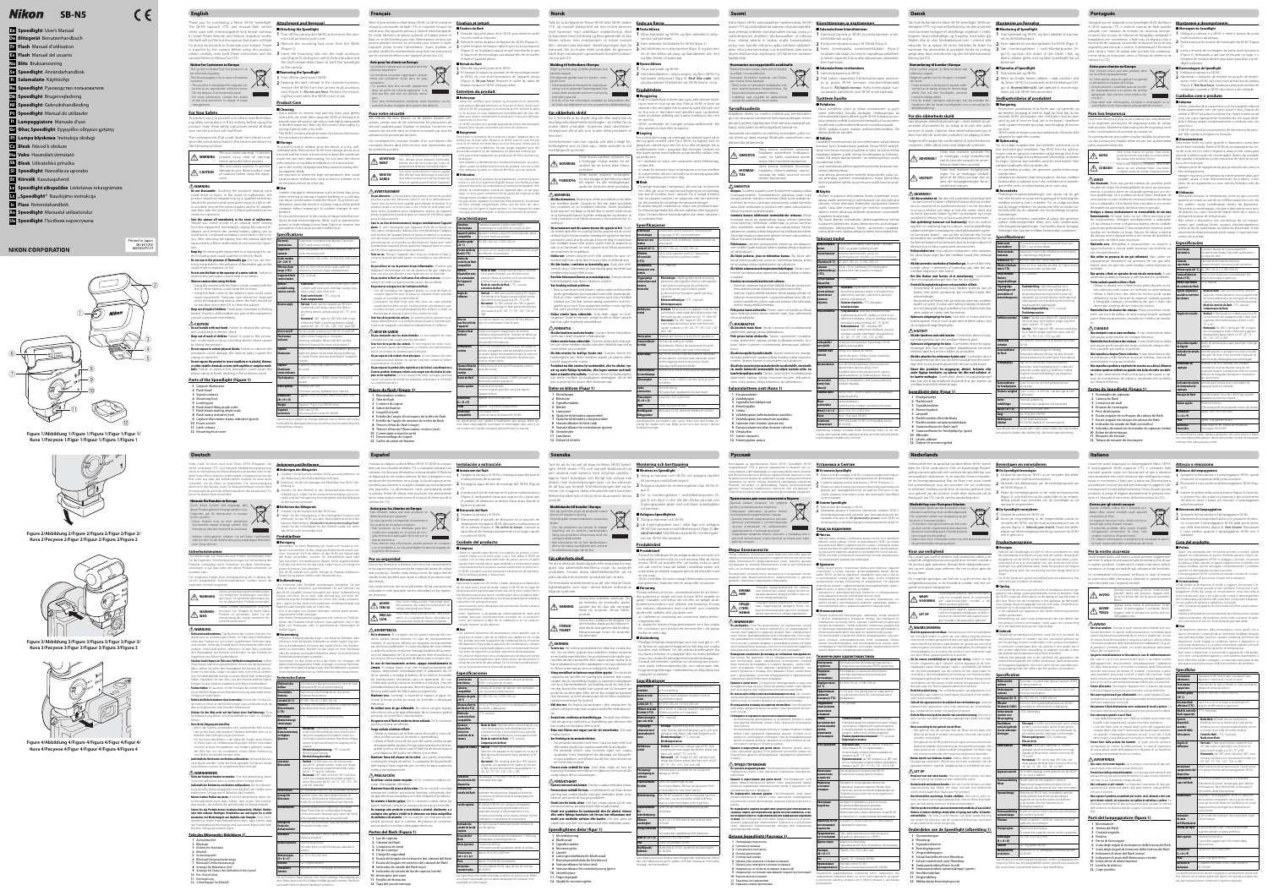### **English**

Thank you for purchasing a Nikon SB-N5 Speedlight. **Attachment and Removal ttachment**  The SB-N5 supports i-TTL and manual flash control **The Attaching the Speedlight** when used with interchangeable lens format cameras. In Smart Photo Selector and Motion Snapshot modes, **1** Turn off the camera and SB-N5 and remove the camthe flash will not fire but the capture illuminator will light for about six seconds to illuminate your subject. Power **2** Remove the mounting foot cover from the SB-N5 is supplied by the camera. Before using this product, please carefully read both these instructions and the **3** Insert the mounting foot into the multi accessory camera Reference Manual (on CD).



### **For Your Safety or**

revent injury to yourself or to others, read the followng safety precautions in their entirety before using this product. Keep these safety instructions where all those who use the product will read them. The consequences that could result from failure to ob-Do not subject to shock or vibration. serve the precautions listed in this section are shown by ■ Storage



ment.

Using the flash close to the subject's eyes could cause visual impairment. Particular care should be observed when photographing infants, when the flash should be no less than one meter (39 in.) from the subject. **• Keep out of reach of children.** Small parts constitute a choking zard. Should a child swallow any part of this equipment consult a physician immediately.

### $\triangle$  CAUTION

 **WARNING • Do not disassemble.** Touching the product's internal parts could result in injury. In the event of malfunction, the product should be repaired only by a qualified technician. Should the product break open as the result of a fall or other accident, remove the camera battery and/or AC adapter and then take the product to a Nikon-authorized service center for inspection. **• Turn the camera off immediately in the event of malfunction.** hould you notice smoke or an unusual smell coming from the equipment, immediately unplug the camera AC

adapter and remove the camera battery, taking care to avoid burns. Continued operation could result in fire or injury. After removing the battery from the camera, take the equipment to a Nikon-authorized service center for inspection. **• Keep dry.** Immersing the equipment in or exposing it to wacluding rain) could cause fire or electric shock.

**• Do not use in the presence of flammable gas.** Do not use elec te of flammable gas, as thi could result in explosion or fire. **• Do not aim the flash at the operator of a motor vehicle.** Failure to bserve this precaution could result in accidents. • Observe caution when using the flash.

#### • Using the camera with the flash in  $\epsilon$ skin or other objects could cause fire or burns.

- **Parts of the Speedlight (Figure 1) 1** Capture illuminator
- **2** Flash head **3** Signal contacts
- **4** Mounting foot **5** Locking pin
- **6** Flash head tilting angle scale **7** Flash head rotating angle scale
- **8** Flash status indicator (red) **9** Capture-illuminator status indicator (green)
- **10** Power switch **11** Latch release
- **12** Mounting foot cover

Sudden changes in temperature, such as those that occur when entering or leaving a heated building on a cold day, can cause condensation inside the device. To prevent condensation, place the device in a plastic bag or other sealed container before exposing it to sudden changes in ter perature. • Do not use the device in the vicinity of equipment that produces strong electromagnetic fields, such as transmission towers or high-voltage power lines. Failure to observe this precaution could cause product malfunction.

**Guide number (20 °C/68 °F)** 9 (ISO 100, m/ft), 12/39.4 (ISO 200, n **Effective flash range (i-TTL)** to 20 m/2 ft to 66 ft (varies with IS sensitivity, bounce angle, and aperture) **Supported fl ash control modes** i-TTL, manual **Flash mode: F** 

**• Do not handle with wet hands.** Failure to observe this precauould result in electric shock. **• Keep out of reach of children.** Failure to observe this precaucould result in injury, including electric shock caused by licking the product.

**• Do not expose to violent physical shocks.** Failure to observe this precaution could damage the internal parts, rupture the **Capture illuminator** .<br>casing, or cause fire. **• Do not expose the product to insect repellent or to alcohol, thinner, or other volatile chemicals or store with naphtha or camphor moth-**

**balls.** Failure to observe this precaution could cause the

### plastic casing to break, resulting in fire or electric shock.

en SB-N5 is used with compatible cam ts for about six seconds during buffering art Photo Selector and Motion Snap modes Lights to show that capture illuminator can

**Dimensions (W × H × D)** Approx. 50 × 70.5 × 40.5 mm/2.0 × 2.8 × 1.6 in. **Weight** | Approx. 70 g/2.5 oz (SB-N5 only)

era multi accessory port cover.

(Figure 2). port (Figure 3), sliding it in until it clicks into place and the latch release slides down to latch the Speedlight

#### to the camera. ■ **Removing the Speedlight 1** Turn off the camera and SB-N5.

**2** Keeping the latch release in the unlocked position, remove the SB-N5 from the camera multi accessory port (Figure 4). Do not use force. Replace the mounting foot cover when the SB-N5 is not in use.

#### **Product Care** ■ Cleaning

**Extractly**<br>Use a blower to remove dust and lint, then wipe gently with a soft, dry cloth. After using the SB-N5 at the beach or seaside, wipe off sand or salt with a cloth lightly dampened in distilled water and then dry the product thoroughly by wiping it gently with a dry cloth. The SB-N5 contains a large amount of precision electronics

o prevent mold or mildew, store the device in a dry, wellentilated area. Remove the SB-N5 from storage about once a month and fire it two or three times to keep the condenser inside the unit from deteriorating. Do not store the device with camphor or naphtha mothballs or in locations that: • are in the vicinity of equipment that produces strong electromagnetic fields. are exposed to extremely high temperatures that could Afin d'éviter de vous blesser, ou de blesser d'autres personnes, prenez soin de lire entièrement les précautions de sécurité suivantes avant d'utiliser ce produit. Conservez ces mesures de sécurité dans un endroit accessible par tous les

> Cet icône symbolise les mises en garde. Afin d'éviter tout dommage à votre produit Nikon, prenez soin de lire tout mises en garde avant d'utiliser l'app

**Ne pas démonter.** La manipulation des parties internes du produ pourrait causer des blessures. Dans le cas d'un disfonctionnement, seul un technicien qualifié peut réparer le produit. Si le produit venait à se briser suite à une chute ou tout autre accident, retirez la batterie et/ou l'adaptateur secteur de l'appareil photo et apportez le produit dans un centre de SAV Nikon agréé

• **Dans le cas d'un disfonctionnement, éteignez immédiatement l'appareil photo.** Si vous remarquez que l'appareil émet de la fumée ou<br>une odeur inhabituelle, débranchez immédiatement l'adaptateur secteur de l'appareil photo et retirez la batterie, en prenant soin de ne pas vous brûler. Un fonctionnement non-interrompu pourrait causer un incendie ou des blessures. Après avoir retiré a batterie de l'appareil photo, apportez l'appareil dans un cent

cause product malfunction, such as next to a heater or in

#### an enclosed vehicle on a hot day ■ **Use**

**Tenir au sec.** Plonger l'appareil dans l'eau ou l'exposer à l'eau compris la pluie) pourrait causer un incendie ou une électrocu-

• **Ne pas utiliser en cas de présence de gaz inflammables.** N'utilisez pas d'appareil électronique en cas de présence de gaz inflammables, ceci pouvant résulter à une explosion ou un incendie. **Ne pas pointer le flash sur l'utilisateur d'un véhicule motorisé.** Le nonrespect de cette consigne pourrait causer des accidents. **Respectez les consignes lors de l'utilisation du flash.** 

Lors de l'utilisation de l'appareil photo, un coup de flash en contact rapproché avec la peau ou d'autres objets pourrait

**Specifications cations Electronic construction** tomatic Insulated Gate Bipolar Transist (IGBT) and series circuitry **Supported cameras** Interchangeable lens format cameras with a multi accessory port

> L'utilisation du flash trop près des yeux du sujet pourrait causer des troubles visuels. Veuillez porter une att ticulière lorsque vous photographiez des enfants, le flash n devant pas se trouver à moins d'un mètre du sujet. • **Tenir hors de la portée des enfants.** De petites pièces exposent à un uffement. Si un enfant venait à avaler n'importe que le pièce de l'appareil, consultez immédiatement un médecin.

• **Ne pas exposer le produit à des répulsifs ou à de l'alcool, à un diluant ou à d'autres produits chimiques volatils ou le ranger avec des boules de camphre ou de naphtaline.** Le non-respect de cette consigne po causer la fracture du boîtier en plastique, entraînant un

**6** Echelle de l'angle d'inclinaison de la tête de flash **7** Echelle de l'angle de rotation de la tête de flash

**Options** 

**10** Commutateur marche-arrêt **11** Déverrouillage du loquet **12** Cache du sabot de fixation

**available using camera controls** curtain with slow sync, and rear-curtain sync, rear-curtain with slow sync • **Flash control mode**: i-TTL, manual • **Flash compensation**

> **Bertical: Flash** rizontal with stops where the flash i pointing directly ahead and at 60°, 75°, and 90° • **Horizontal**: 180° right to 180° left, with stops here the flash is pointing directly ahead

**1** Eteindre l'appareil photo et le SB-N5 puis retirer le cache du port multi-accessoires. **2** Retirez le cache du sabot de fixation du SB-N5 (Figure 2). (Figure 3), en le glissant jusqu'à ce qu'il s'enclenche et que le loquet de déverrouillage soit abaissé afin de verrouiller le flash à l'appareil photo.

and at 30°, 60°, 75°, 90°, 120°, 150°, and 180° **Device on/off Flash status indicator** its when charging is complete na indicator: Blinks (see the camer Reference Manual for more information)

• Le SB-N5 contient une grande quantité de pièces électroniques de précision. Ne pas soumettre aux chocs et vibrations. er la formation de moisissures, ranger l'appareil dans un endroit sec et bien aéré. Ressortir le SB-N5 environ une fois par mois et le mettre en route deux ou trois fois pour éviter que le condensateur ne se détériore. Ne pas ranger l'appareil avec des oules de camphre ou de naphtaline, ou dans des endroits qui ent à proximité d'appareils qui produisent de forts champs ma-

**Capture-**

**Other options Thermal cut-out** 

**illuminator status indicator** be used **Flash duration** | Lights for about 1/4000 s when fired at full power

gnétiques. • sont exposés à d'extrêmement hautes températures qui pourraient causer un disfonctionnement du produit, comme à côté d'un radiateur ou dans un véhicule fermé un jour de canicule. • Des changements soudains de températures, comme lorsqu'on entre ou sort d'un bâtiment chauffé durant une froide journée

Firmware can be updated from camera

**Supplied accessories** Soft case SS-N5, Mounting foot cover BS-N2000 Specifications subject to change without notice. Nikon will not b held liable for damages that may result from any mistakes that this

ent causer de la condensation à l'intérieur de l'appareil. Afir d'éviter la condensation, introduire l'appareil dans un sac plasterner de concenteure.<br>Ique ou tout autre conteneur fermé avant de l'exposer à des • Ne pas utiliser l'appareil à proximité d'équipements produisant

de forts champs magnétiques, telles que les tours de transmission ou les lignes à haute-tension. Le non-respect de cette consigne pourrait entraîner un disfonctionnement du produit. Transistor bipolaire à grille isolée (IGBT) emble de circuits en séri Appareils photos à objectif interchangeable dotés d'un port multi-accessoires 00, m), 12 (ISO 200, m) De 0,6 m à 20 m (varie selon la sensibilité ISO, angle de réflexion, et ouverture)

manual may contain.

i-TTL, manuel **Mode de flash: Dosage f** r le premier rideau), synchro lente sur l<sub>'</sub> emier rideau, et synchro sur le second i synchro lente sur le second rideau<br>• **Mode de contrôle du flash** : i-TTL, manuel

**Vertical** : Le flash pe zontal et se bloque lorsque le flash po ment vers l'avant et à 60°, 75° et 90 **Horizontal** : De 180° à droite vers 180° à gau et se bloque lorsque le flash pointe directement<br>vers l'avant et à 30°, 60°, 75°, 90°, 120°, 150° et

La mise en marche ou l'arrêt du SB-N5 s'effectue commutateur marche-arrêt S'allume lorsque le chargement est terminé Indicateur d'avertissement : Clignote (se référer au el de référence de l'appareil photo pour

# Nikon **SB-N5 En Speedlight** User's Manual

**De Blitzgerät** Benutzerhandbuch **Fr Flash** Manuel d'utilisation **Es Flash** Manual del usuario **No Blits** Bruksanvisning **Sv Speedlight** Användarhandbok **Fi Salamalaite** Käyttöohje **Ru Speedlight** Руководство пользователя **Dk Speedlight** Brugervejledning **Nl Speedlight** Gebruikshandleiding **Pt Speedlight** Manual do utilizador **It Lampeggiatore** Manuale d'uso **Gr Φλας Speedlight** Εγχειρίδιο οδηγιών χρήσης **Pl Lampa błyskowa** Instrukcja obsługi **Cz Blesk** Návod k obsluze **Hu Vaku** Használati útmutató **Sk Blesk** Užívateľská príručka **Sl Speedlight** Navodila za uporabo **Et Kiirvälk** Kasutusjuhend **Lv Speedlight zibspuldze** Lietošanas rokasgrāmata **Lt** "Speedlight" Naudojimo instrukcija **Is Flass** Notendahandbók **Ro Speedlight** Manualul utilizatorului **Ua Speedlight** Посібник користувача

**NIKON CORPORATION** 

Printed in Japan SB1E01(P2) 8MSA52P2-01

**Français**

Les spécifications sont sujettes à modification sans préavis. Nikon décline toute responsabilité concernant les dommages subis suite à un non-respect de l'une des consignes présentée dans ce manuel.

## Gracias por adquirir un flash Nikon SB-N5. El SB-N5 es compa- **Instalación y extracción**



ering ved et passende kasseringsste kasser dette produktet sammen med vanlig

 $\cdot$  Hvis du vil ha mer informasion, kontakter du forhandleren ell de lokale myndighetene som har ansvaret for avfallshåndtering.

autorités locales chargées de la gestion des déchets.

**Pour votre sécurité our** 

les symboles suivants

**• Må ikke demonteres.** Berøring av dette produktets indre deler kan du plassere utstyret i en plastpose eller tett beholder kan medføre skader. Oppstår en feil, bør dette produktet før det utsettes for plutselige temperaturendringer. kun repareres av en kvalifisert tekniker. Skulle produktet betak ikke utstyret i nærheten av utstyr som produserer steråpne seg som en følge av et fall eller et annet uhell må du ke elektromagnetiske felt, slik som radiotårn eller høyspentta ut kameraets batteri og/eller nettadapter og deretter ta linjer. Overses denne forholdsregelen kan dette resultere i med produktet til et Nikon-autorisert servicesenter for in-at produktet feiler. • Plutselige endringer i temperatur, slik som når du kommer inn i eller går ut av en oppvarmet bygning på en kald dag, kan føre til kondens inne i utstvret. For å unngå konder

utilisateurs du produit qui les liront.

Les conséquences pouvant résulter d'un non-respect des consignes émises dans cette section sont représentées par

> **• Slå av kameraet med det samme dersom det oppstår en feil.** Skulle du merke røyk eller en uvanlig lukt fra utstyret må du umidlelbart kople fra kameraets nettadapter og fjerne kamera ets batteri, pass på at du unngår å brenne deg. Fortsatt bruk kan medføre brann eller annen skade. Etter at batteriet e tatt ut av kameraet, ta med utstyret til et Nikon-autoriser

**MISE EN GARDE**

AVERTISSEMENT

• Bruk av kameraet med blitsen i nærkontakt med hud eller andre gjenstander kan forårsake brann eller brannskade • Bruk av blits i nærheten av motivets øyne kan medfø svekket syn. Det bør utvises særlig varsomhet ved foto grafering av barn, hvor avstanden mellom motiv og bli bør være på minst en meter fra motivet. **• Holdes utenfor barns rekkevidde.** Små deler utgjør en kvelingsfare. Skulle et lite barn svelge en del av dette utstyre

len kan dette medføre skader, inkludert elektrisk støt ved at **for blits** eller 180° **Utstyr på/av** Strømbryter brukes til å slå SB-N5 på eller **Statusindikator**  <sub>t</sub>es når lading er fullført lampe: Blinker (se kameraets Kom bruksanvisning for nærmere informasjon) **Motivlampe** Når SB-N5 brukes med kompatible kamer tenne i omtrent seks sekunder d funksjonene Smart

pour le faire examiner.

Takk for at du kjøpte en Nikon SB-N5 blits. SB-N5 støtter ligenen en sternen **Feste og fjerne** i-TTL og manuell blitskontroll når den brukes sammen ■ **Feste blitsen**

med nameraet med desimbate bejendmentad. Med **1** Slå av kameraet og SB-N5, og fjern dekselet til utstyr-<br>funksjonene Smart bildevalg og Bevegelsesbilde vil ikke ditt i omtrent seks sekunder. Strømforsyningen skjer fra **2** Fjern dekselet til blitsfoten fra SB-N5 (figur 2). kameraet. Før du bruker dette produktet, les gjennom **3** Sett blitsfoten inni utstyrsporten (figur 3), og skyv den sporten på kameraet. inn til den klikker på plass og låseutløseren sklir ned

de SAV Nikon agréé pour le faire examiner.

**2** Hold låseutløseren i ulåst posisjon, og fjern SB-N5 fra kameraets utstyrsport (figur 4). Bruk ikke makt. Sett på plass dekslet til blitsfoten når SB-N5 ikke er i bruk. **Produktpleie roduktpleie** ■ **Rengjøring**

tion.

causer un incendie ou des brûlures.

• **Ne pas manipuler avec les mains humides.** Le non-respect de cette

consigne pourrait causer une électrocution.

• **Tenir hors de la portée des enfants.** Le non-respect de cette consigne pourrait causer des blessures, y compris une électrocution

Ne pas exposer à de violents chocs physiques. Le non respect de cet ourrait abîmer les parties internes, rompre le boîtie

lors d'un contact du produit avec la bouche.

 $\mathop{\textstyle \bigtriangleup}$  MISE EN GARDE

fotovalg og Bevegelsesbilder **Statusindikator for motivlampe** Tennes for å vise at motivlampen kan benyttes **Bitalies** Tennes i rennes i av medlem fyres a full effekt **Andre alternativer** sk sikrina Firmware kan oppdateres fra kameraet **Dimensjoner (B × H × D)**  $\times$  70.5  $\times$  40.5 mm **Vekt** | Cirka 70 g (kun SB-N5)

ou produire un incendie.

ou une électrocution. **Pièces du flash (Figure 1)**  Illuminateur continu Tête de flash Contacts du signal Sabot de fixation Goupille d'arrêt

**9** Témoin d'état de l'illuminateur continu (vert)

**8** Témoin d'état du flash (rouge)

#### **VAROITUS • Älä pura.** Tuotteen sisäisten

**1** Eteindre l'appareil photo et le SB-N5. **2** En laissant le loquet en position de déverrouillage, retirer le SB-N5 du port multi-accessoires de l'appareil photo (Figure 4). Ne pas forcer. Replacer le cache du sabot de fixation lorsque le SB-N5 n'est pas utilisé **Entretien du produit ntretien** 

■ **Nettoyage**

#### toimen noudattamatta jättäminen saattaa johtaa onnetto muuksiin. **• Noudata varovaisuutta käyttäessäsi salamaa.**

• Utiliser un souffl eur pour enlever la poussière et les peluches, puis essuyer délicatement avec un tissu sec et doux. Après avoir utilisé le SB-N5 à la plage ou au bord de la mer, enlever le sable u le sel avec un tissu légèrement humidifié dans de l'eau distillée puis sécher entièrement le produit en l'essuyant délicatement avec un tissu sec.

■ **Rangement**

■**Utilisation** 

tamatta jättäminen saattaa johtaa sisäisten osien vaurioitumiseen, laitteen kuoren murtumiseen tai tulipaloon. • Älä altista tuotetta hvönteiskarkotteelle tai alkoholille, ohenteell **tai muille haihtuville kemikaaleille tai säilytä tuotetta nafta- tai kamferikoipalloien avulla.** Tämän varotoimen no jättäminen saattaa johtaa muovisen kuoren rikkoutum

**Caractéristiques aractéristiques Structure électronique**

**Appareils photos compatibles**

**Nombre guide (20 °C)**

**Portée réelle du fl ash (i-TTL)**

> vaihtokelpoinen objektiivi ja monitoimiliitäntä **ISO 100, m), 12 (ISO 200, m)**

**Modes de contrôle du fl ash compatibles**

0,6 m – 20 m (vaihtelee ISO-herkkyyden, ulman ja aukon mukaa<mark>r</mark>

**Options disponibles avec les commandes de l'appareil photo**

> etuverhon täsmäys pitkiin suljinaikoihin ja lkiverhon täsmäys, jälkiverhon täsmäys

tkiin suliinaikoi • **Salaman ohjaustila**: i-TTL, käsisäätö

• **Correction du fl ash**

**Angle de réfl exion**

> **Pystysuunnassa:** salamaa voidaan kiertä akatasosta aina 90° saakka, ja siinä on p timet kohdassa, jossa se o eenpäin sekä kohdissa 60°, 75° ja 90 • **Vaakasuunnassa**: 180° oikealta 180° emmalle, pidättimet kohdas ttaa suoraan eteenpäin sekä ko 30°, 60°, 75°, 90°, 120°, 150° ja 180°

kameran käyttöoppaasta) **usvalaisin k**un SB-N5:ttä käytetään yhteensor

180°

**Mise en marche/arrêt de l'appareil**

**Témoin d'état du fl ash**

> rittelyä voidaan muuttaa ilman ilmoitusta. Nikon ei ole va tuussa vahingoista, jotka saattavat aiheutua mistä tahansa tämän

**Illuminateur continu**

plus amples informations) Lilisation du SB-N5 avec des a modus compatibles, s'allume pendant secondes durant l'enregistrement dans la mémoire on avec les modes Sélecteur de photo op misé et Instant animé S'allume pour avertir que l'illuminateur continu peut être utilisé

**Durée du flash S'allume pendant environ 1/4000 s lorsqu'il s** déclenche à pleine puissance **Autres options** Protecteur thermique ogiciel peut être mis à jour depuis l'appareil photo ox. 50  $\times$  70,5  $\times$  40,5 mm **Poids** Approx. 70 g (SB-N5 uniquement) souple SS-N5. Cache de sabot de fixation BS-N2000

**Témoin d'état de l'illuminateur continu**

affaldshåndtering. **For din sikkerheds skyld or** 

**Dimensions (L × H × P)**

**Accessoires compatibles**

### **Norsk**

med kameraer med utskiftbare objektivformat. Med

blitsen avfyres, men motivlampen vil belyse motivet

denne forsigtighedsregel ikke, kan der ske ulykker. Overhold forsigtighedsreglerne ved anvendelse af flash. Anvendelse af kameraet, hvor flashen kommer tæt

både disse instruksjoner og kameraets Komplett bruksan-

ette produktet er beregnet for separat kas- $\bigwedge$ 

visning (på CD).

asseres separat.

**Melding til forbrukere i Europa** Dette symbolet angir at dette produktet skal

Det følgende gjelder bare for kunder i euro-

peiske land:

**• Må ikke håndteres med våde hænder.** Overholdes denne forsigtighedsregel ikke, kan det medføre elektrisk stød. **Opbevares utilgængeligt for børn.** Overholdes denne forsigti hedsregel ikke, kan det medføre tilskadekomst, herunder elektrisk stød, hvis et barn slikker på produktet. **• Må ikke udsættes for voldsomme fysiske stød.** Overholdes denne orsigtighedsregel ikke, kan der ske beskadigelse af de indven dige dele, brud på kamerahuset eller der kan opstå brand. **• Udsæt ikke produktet for myggespray, alkohol, fortynder eller**  andre flygtige kemikalier, og opbevar det ikke med naftalen- **e** 

husholdningsavfall.

**For sikkerhets skyld or** 

For å forhindre at du skader deg selv eller andre bør du

bruker dette produktet. Oppbevar disse sikkerhetsin-

lese dem.

A ADVARSEL

med følgende symboler:

**ADVARSEL** å forebygge mulige skader, les ad-varslene før du bruker dette Nikon-

**FORSIKTIG** For å forebygge at ditt Nikon-produkt<br>blir skadet, les alle forsiktighetsad-Dette ikonet markerer forsiktigh

produktet.

Dette ikonet markerer advarsler. For

varsler før du bruker dette produktet.

speksjon.

rvicesenter for inspeksjor

tet kun repareres af en kvalificeret tekniker. Hvis der sker åbne skal du lægge enheden i en plastikpose eller en anden luk-**• Sluk øjeblikkeligt kameraet ved funktionsfejl.** Hvis du oplever stærke elektromagnetiske felter, som f.eks. sendemaster røg eller en mærkelig lugt fra udstyret, skal du øjeblikkeligt eller højspændingsledninger. Overholdes denne forsigtigtrække kameraets lysnetadapter ud af stikkontakten og fjer- hedsregel ikke, kan det medføre funktionsfejl i produktet. • Pludselige temperaturændringer, som opstår, når du går ind i eller forlader en opvarmet medføre kondens inde i enheden. For at undgå kondens ket beholder, før du udsætter den for pludselige tempera-• Anvend ikke enheden i nærheden af udstyr, der genererer

**• Holdes tørr.** Senkes utstyret ned i eller utsettes for vann (inkludert regn) kan dette føre til brann eller et elektrisk støt. **• Må ikke brukes i nærheten av brannfarlig gass.** Bruk ikke elektronisk utstyr i nærheten av brannfarlig gass, da dette kan

**• Rett ikke blitsen mot føreren av et motorkjøretøy.** Overses denn fsregelen kan dette resultere i ulykke

medføre eksplosjon eller brann.

**• Vær forsiktig ved bruk av blitsen.**

lese følgende sikkerhetsforholdsregler i sin helhet før du en tørr klut. • SB-N5 inneholder en mengde presisjonselektronikk. Må struksjonene slik at alle som bruker dette produktet vil ■ **Lagring** <u>.</u><br>I å fjerne støv og lo, tørk deretter forsiktig av med en myk og tørr klut. Etter at SB-N5 er brukt på anden eller ved sjøen må du tørke av sand eller salt me en klut som er lett fuktet med destillert vann, og derette tørke produktet skikkelig ved å tørke forsiktig av det med ikke utsettes for støt eller vibrasjoner.

bør man søke legehjelp umiddelbart.

 **FORSIKTIG**

**• Må ikke håndteres med våte hender.** Overses denne forholdsre-

gelen kan dette resultere i elektrisk støt.

oen slikker på produkte

**• Holdes utenfor barns rekkevidde.** Overses denne forholdsrege-

Konsekvensene som kan oppstå ved ikke å følge for-tørt og godt ventilert sted. Fjern SB-N5 fra lagring cirka en holdsreglene som er listet opp i dette avsnittet er vist gang hver måned og la den fyre av to eller tre ganger slik at mugg og meldugg må utstyret lagres på et kondensatoren inne i apparatet ikke forringes. Utstyret må kke lagres samen med møllkuler av kamfer eller naftalin, elle på steder som: • er i nærheten av utstyr som produserer sterke elektromag-

**• Må ikke utsettes for kraftige fysiske støt.** Overses denne forholdsregelen kan dette medføre skader på interne deler,

brudd i kappen eller brann.

**Deler av blitsen (Figur 1)** 

**• Produktet må ikke utsettes for insektmiddel, eller for alkohol, tyn**ner og andre flyktige kjemikalier, eller lagres sammen med møll kuler av kamfer eller naftalin. Overses denne forholdsreg kan dette medføre at plastkappen ødelegges, slik at d kan oppstå fare for brann eller elektriske støt.

**Para Sua Segurança** ra evitar lesões a si próprio ou a outros, leia completamente as seguintes precauções de segurança antes de utilizar este produto. Mantenha estas instruções de segurança onde todos os utilizadores do produto as possam ler. As consequências que podem resultar da falha na observância das precauções listadas nesta secção são apresentadas

**1** Motivlampe **2** Blitshode **3** Signalkontakter **4** Blitsfot **5**

Låsepinne

 Skala for blitshodets vippevinkel Skala for blitshodets rotasjonsvinkel Statusindikator for blits (rød) Statusindikator for motivlampe (grønn)

**10** Strømbryter **11** Låsutløser **12** Deksel til blitsfot

og låser blitsen til kameraet. ■ **Fjerne blitsen 1** Slå av kameraet og SB-N5.

**3** Insira o encaixe de montagem na porta multi-acessórios (Figura 3), deslizando-o até que se encaixe no lugar e o bloqueio do encaixe deslize para baixo para fixar a Spee-

netiske felt, • er utsatt for ekstremt høye temperaturer som kan medføre at utstyret feiler, slik som ved siden av et varmeapparat elle inne i et kjøretøy på en varm dag ■ **Bruk**

Para evitar mofo ou bolor, quarde o dispositivo numa área seca e bem ventilada. Retire a SB-N5 do armazenamento cerca de uma vez por mês e dispare-a duas ou três vezes para impedir a deterioração do condensador dentro da unidade. Não guarde o dispositivo junto com bolas de cânfora ou naf-

• estejam expostos a temperaturas extremamente altas que possam causar o mau funcionamento do produto, como

• Alterações bruscas na temperatura, como as que ocorre

Para evitar a condensação, coloque o dispositivo num sa de plástico ou outro recipiente selado antes de o expor a

| <u>Spesifikasjoner</u>                                     |                                                                                                                                                                                                                                                                                                              |
|------------------------------------------------------------|--------------------------------------------------------------------------------------------------------------------------------------------------------------------------------------------------------------------------------------------------------------------------------------------------------------|
| <b>Elektronisk</b><br>konstruksjon                         | Automatisk isolert transistor med bipolare<br>innganger (IGBT) og rekkekretser                                                                                                                                                                                                                               |
| <b>Kameraer som</b><br>støttes                             | Kameraer med utskiftbare objektivformat og<br>utstyrsport                                                                                                                                                                                                                                                    |
| Ledetall (20 °C)                                           | 8,5 (ISO 100, m), 12 (ISO 200, m)                                                                                                                                                                                                                                                                            |
| <b>Effektivt</b><br>blitsområde<br>$(i-TTL)$               | 0,6 til 20 m (varierer med ISO-følsomhet,<br>refleksjonsvinkel og brennvidde)                                                                                                                                                                                                                                |
| <b>Blitskontroll-</b><br>funksjoner som<br>støttes         | i-TTL, manuell                                                                                                                                                                                                                                                                                               |
| Tilgjengelige<br>alternativer med<br>kamera-<br>kontroller | Blitsfunksjon: Utfyllingsblits (synkronisering<br>på fremre lukkergardin), fremre lukkergardin<br>med synkronisering på lang lukkertid,<br>og synkronisering mot bakre gardin,<br>synkronisering mot bakre gardin på lang<br>lukkertid<br>· Blitskontrollfunksjon: i-TTL, manuell<br>· Blitskompensasjon     |
| Refleksjons-<br>vinkel                                     | • Vertikalt: Blitsen kan vris oppover inntil 90° fra<br>horisontalt, med stopp der blitsen peker rett<br>fremover og der vinkelen er 60°, 75° eller 90°<br>. Horisontalt: Fra 180° høyre til 180° venstre,<br>med stopp der blitsen peker rett fremover<br>og der vinkelen er 30°, 60°, 75°, 90°, 120°, 150° |

20 m (varia com a sensibili ângulo de ressalto e abertura)

• **Compensação do fl ash Vertical: O flash pode ser** 

Acende quando o carregamento está concluído Indicador de aviso: Pisca (consulte o Manual de *referência* da câmara para mais informação)

do a SB-N5 é utilizada com câmaras patíveis, acende durante cerca de seis segundos durante o armazenamento nos modos e fotografia inteligente

Acende para mostrar que o iluminador de ção pode ser utilizado

O firmware pode ser actualizado a partir da câmara

 $\times$  70.5  $\times$  40.5 mm

**Duração do flash** Acende durante cerca de 1/4000 seg. qua disparado à potência máxima

**Aviso para los clientes en Europa** Este símbolo indica que este producto se debe desechar por separado. La nota siguiente corresponde únicamente a los usuarios de los países europeos: • Este producto se ha diseñado para desecharlo por separado en un punto de recogida de residuos adecuado. No lo tire con la basura doméstica. • Para obtener más información, puede ponerse en contacto con el vendedor o con las autoridades locales encargadas d

**Medfølgende tilleggsutstyr** Myk eske SS-N5, deksel til blitsfot BS-N2000 ifikasjoner kan endres uten varsel. Nikon kan ikke holdes svarlig for skader som kan følge av feil som kan finnes i denne bruksanvisningen.

## **Suomi**

indicadas en este apartado vienen indicadas por los siguien-almacenamiento aproximadamente una vez al mes y realice dos o concienzudamente el producto usando suavemente un paño seco. • El SB-N5 contiene muchos elementos electrónicos de precisión. No lo someta a golpes o vibraciones. ra evitar la aparición de moho u óxido, almacene el dispositivo en un área seca y bien ventilada. Saque el SB-N5 de su lugar de os para evitar que el condensador de la unidad se det

> re. No almacene el dispositivo con bolas antipolillas de naftalina o alcanfor o en ubicaciones que: e encuentren cerca de equipos que produzcan fuertes campos • estén expuestos a temperaturas extremadamente altas que puedan provocar funcionamientos erróneos en el producto, como por ejemplo al lado de un calefactor o en un vehículo terrado durante un día caluroso

Kiitos Nikon SB-N5-salamalaitteen hankkimisesta. SB-N5 **Kiinnittäminen ja irrottaminen iinnittäminen**  tukee i-TTL:ää ja käsisäätöistä salaman ohjausta käytettäessä yhdessä sellaisten kameramallien kanssa, joissa on vaihtokelpoinen objektiivi. Valokuvavalitsin- ja Liikkuva kuva -tiloissa salama ei laukea, mutta kuvausvalaisin syttyy noin kuuden sekunnin ajaksi kohteesi valaisemiseksi. Virta tulee kamerasta. Lue huolellisesti sekä nämä **3** Aseta kiinnitysjalka monitoimiliitäntään (Kuva 3) ohjeet että kameran käyttöopas (CD:llä) ennen tuotteen

**ADVER-**Este icono indica avisos. Para evitar posi-**TENCIA** bies residings, realized bis designed

**PRECAU-** Este icono indica precauciones. Para evitar

daños en su producto Nikon, lea todas precauciones antes de utilizar el equipo.

• **No lo desmonte.** El contacto con las partes internas del producto podría causar lesiones. En caso de funcionamient erróneo, el producto deberá ser reparado exclusivamente por técnicos cualificados. Si como resultado de un accidente

un servicio técnico autorizado de Nikon para su inspección. campos electromagnéticos, tales como torres de transmisión o **cámara.** Si notase humo o un olor inusual proveniente del car un funcionamiento erróneo del producto. líneas de corriente de alto voltaie. De lo contrario podr  $E$ specificaciones **Construcción**  Transistor bipolar automático de puerta aislada una serie de circuitos



equipo, desenchufe inmediatamente el adaptador de CA de la cámara y extraiga la batería de su interior tomando las precauciones necesarias para no quemarse. Un us continuado podría provocar incendios o lesiones. Una vez extraída la batería de la cámara, lleve el equipo a un servicio técnico autorizado de Nikon para su inspección. • **Mantener seco.** Sumergir o exponer el equipo al agua (incluida la lluvia) podría provocar un incendio o descarga

No utilizar cerca de gas inflamable. No utilice ningún equip o cerca de glas inflamable, de lo contrario podrí

No apunte con el flash al conductor de un vehículo. De lo contra

lizar la cámara con el flash cerca de la piel u otros o jetos podría causar un incendio o quemaduras. .<br>Utilizar el flash cerca de los ojos del sujeto podría causar discapacidades visuales. Ponga especial atención al fotografiar a niños, en dicho caso el flash ha de encontrars una distancia del sujeto no inferior a un metro. Mantener fuera del alcance de los niños. Las partes pequeñ

#### **Turvallisuudesta urvallisuudesta** Estääksesi itseesi tai muihin kohdistuvat henkilövahingot lue seuraavat varotoimet kokonaisuudessaan ennen

podría provocar accidentes. **Tenga cuidado al utilizar el flash** 

iesgos de asfixia. Si cualquiera de las partes de este equipo fuese ingerida por un niño, busque asistencia

• **No utilizar con las manos mojadas.** De lo contrario podría provocar descargadas eléctricas. **Mantener fuera del alcance de los niños.** De no cumplir con est precaución podrían provocarse lesiones, incluyendo des cargas eléctricas causadas si un niño chupase el producto. **Conexión/ desconexión del dispositivo Indicador de estado del flash** 

| dattamatta jättämisestä:     |                                                                                                                                                   |
|------------------------------|---------------------------------------------------------------------------------------------------------------------------------------------------|
| <b>VAROITUS</b>              | Tämä tunnus merkitsee varoitusta.<br>Estääksesi mahdollisen loukkaantu-<br>misen lue kaikki varotukset ennen<br>tämän Nikon-tuotteen käyttämistä. |
| <b>HUOMAU-</b><br>$\sqrt{t}$ | Tämä tunnus merkitsee huomiota.<br>Estääksesi Nikon-tuotettasi vaurioi-<br>tumasta lue kaikki huomiot ennen<br>laitteen käyttämistä.              |

loukkaantumiseen. Toimintahäiriön sattuessa tuote tulisi koriata pätevän teknikon toimesta. Mikäli tuote aukeaa tippumisen tai muun vahingon seurauksena, poista kameran akku ja/tai verkkolaite ja toimita tuote sitten valtuutettuun Nikon-huoltoon tarkistettavaksi.

**Partes del flash (Figura 1)**  Luz de captura Cabezal del flash Contactos de señal

 Escala del ángulo de inclinación del cabezal del flash Escala del ángulo de rotación del cabezal del flash Indicador de estado del flash (rojo) Indicador de estado de luz de captura (verde)

tible con los controles de flash i-TTL y manual al utilizarse con **Instalación del flash**<br>cámaras con formato de objetivo intercambiable. El flash no cenderá para iluminar a su sujeto durante aproximadamente **2** Extraiga la tapa del pie de montaje del SB-N5 (Figura **1** Apague la cámara y el SB-N5 y extraiga la tapa del puerto multiaccesorios de la cámara.

#### (Figura 3), deslizándolo hasta que oiga un clic y hasta que el pestillo de liberación se deslice hacia abajo fijando el produkt. flash en la cámara.

**• Sammuta kamera välittömästi toimintahäiriön sattuessa.** Mikäli omaat savua tai epätavallista hajua tulevan laitteesta, irrota kameran verkkolaite välittömästi ja poista kameran tuottavien laitteistojen, kuten lähetystornien tai korkeajänakku huolehtien samalla ettet saa palovammoja. Käytön jatkaminen saattaa johtaa tulipaloon tai loukkaantumiseen. matta jättäminen saattaa johtaa tuotteen toimintahäiriöön. Akun kamerasta poistamisen jälkeen vie laite valtuutettuun Nikon-huoltoon tarkastettavaksi.

■ Extracción del flash **1** Apague la cámara y el SB-N5. **2** Manteniendo el pestillo de liberación en la posición de desbloqueo, extraiga el SB-N5 del puerto multiaccesorios de la cámara (Figura 4). No utilice la fuerza. Coloque la tapa del pie de montaje nuevamente en su lugar cuando no utilice el SB-N5.

**• Pidä kuivana.** Laitteen upottaminen veteen tai sen altistaminen vedelle (sade mukaan lukien) saattaa johtaa tulipaloon tai sähköiskuun. **• Älä käytä paikassa, jossa on tulenarkaa kaasua.** Älä käytä sähköisiä laitteita paikoissa, joissa on tulenarkaa kaasua, koska tämä saattaa johtaa räjähdykseen tai tulipaloon. **• Älä tähtää salamaa moottoriajoneuvon kuljettajaan.** Tämän varo-

• Kameran salaman käyttö liian lähellä ihoa tai muita kohteita saattaa johtaa tulipaloon tai palovammoihin. • Salaman käyttö lähellä kohteen silmiä saattaa johtaa näkökyvyn huononemiseen. Lapsia kuvatessa tulisi olla erityisen huolellinen, jolloin salaman tulisikin olla vähintään metrin etäisyydellä kohteesta. **• Pidä poissa lasten ulottuvilta.** Pieniin osiin voi tukehtua. Mikäli

jonkin tämän laitteen osan, kysy välittömäst neuvoa lääkäriltä.  $\triangle$  Huomautus Älä käsittele märin käsin. Tämän varotoimen noudattamatta

tämän tuotteen käyttämistä. Pidä nämä turvaohjeet paikassa, josta kaikki tuotetta käyttävät lukevat ne. Seuraavilla tunnuksilla on merkitty seuraukset, jotka voivat aiheutua tässä osiossa listattujen varotoimien nou-■ **Säilytys**

Cámaras de formato de objetivo intercambiable con un puerto multiaccesorios 100, m), 12 (ISO 200, m) De 0,6 a 20 m (varía con la sensibilidad ISO, ángulo ote, y diafragma) L, manual

**Modo de flash: Flash de re** cortinilla delantera), cortinilla delantera con sincronización lenta, y sincronización a la cortinilla trasera, cortinilla trasera con sincronización lenta • **Modo de control de fl ash**: i-TTL, manual • **Compensación de fl ash Vertical**: El flash puede girarse hasta 90

jättäminen saattaa johtaa sähköiskuun. **• Pidä poissa lasten ulottuvilta.** Tämän varotoimen noudattamatta jättäminen saattaa johtaa loukkaantumiseen, mukaan lukien tuotteen nuolemisesta aiheutuvaan sähköiskuun. **• Älä altista rajuille fyysisille iskuille.** Tämän varotoimen noudat-

sh apunta directamente hacia adelante y a 75° y 90° • **Horizontal**: 180° desde la derecha a 180° hacia la izquierda, con paradas en los lugares en los que el flash apunta directamente hacia adelante 30°, 60°, 75°, 90°, 120°, 150° y 180° Para apagar y encender el SB-N5 se utiliza el uptor principal Se ilumina una vez completada la carga

seen, mikä saattaa johtaa tulipaloon tai sähköiskuun. **Salamalaitteen osat (Kuva 1) alamalaitteen 1** Kuvausvalaisin

Se ilumina para mostrar que puede utilizarse la Se ilumina durante aproximadamente 1/4000 seg. al dispararse a máxima potencia El firmware puede actualizarse desde la cámara Aprox. 50 × 70,5 × 40,5 mm **Peso** Aprox. 70 g (SB-N5 únicamente)

**2** Välähdyspää **3** Signaalin kontaktipinnat **4** Kiinnitysjalka

**5** Sokka **6** Välähdyspään kallistuskulman asteikko

**7 8** Salaman tilan ilmaisin (punainen) **9** Kuvausvalaisimen tilan ilmaisin (vihreä) Välähdyspään kiertokulman asteikko

**10** Virtakytkin **11** Salvan vapautin **12** Kiinnitysjalan suojus

### light. SB-N5 stöder i-TTL och manuell blixtkontroll när ■ **Montera en Speedlight** 1 Stäng av kameran och SB-N5 och avlägsna skyddet

■ **Salamalaitteen kiinnittäminen**

**1** Sammuta kamera ja SB-N5 ja poista kameran moni-

den används med kameror med utbytbart objektiv. lägena Smart fotoväljare och Rörligt foto avfyras inte blixten, men motivbelysningen lyser i ca sex sekunder toimiliitännän suojus.

**2** Poista kiinnitysjalan suojus SB-N5:stä (Kuva 2).

liu'uttaen sitä sisään, kunnes se napsahtaa paikoilleen ja salvan vapautin liukuu alas salpaamaan salamalait-

teen kameraan. ■ Salamalaitteen irrottamine **1** Sammuta kamera ja SB-N5.

**2** Pidä salvan vapautinta lukitsemattomassa asennossa ja poista SB-N5 kameran monitoimiliitännästä (Kuva 4). Älä käytä voimaa. Aseta kiinnitysjalan suojus takaisin paikoilleen, kun SB-N5 ei ole käytössä.

**Tuotteen huolto uotteen**  ■ **Puhdistus**

**FÖRSIK-** $\Delta$  TIGHET

Denna ikon indikerar försiktighet. För att förhindra skada på din Nikonprodukt ska du läsa igenom alla försikt hetsanvisningar innan du använde

• Käytä puhallinta pölyn ja nukan poistamiseen ja pyyhi sitten pehmeällä, kuivalla kankaalla. Hiekkarannalla tai merenrannalla käytön jälkeen pyyhi SB-N5 hiekasta tai suolasta tislatulla vedellä kostutetulla kankaalla ja kuivaa sitten huolellisesti pyyhkimällä hellävaroen kuivalla kankaalla. • SB-N5 sisältää suuren määrän tarkkuuselektroniikkaa. Älä

altista iskuille tai tärinälle.

Estääksesi homehtumisen tai ummehtumisen säilytä laitetta kuivassa, hyvin ilmastoidussa paikassa. Poista SB-N5 säilytyksestä noin kerran kuussa ja laukaise se kaksi tai kolme kertaa estääksesi laitteen sisällä olevaa kondensaattoria heiker mästä. Älä säilytä laitetta kamferi- tai naftakoipallojen avulla

tai paikoissa, jotka:

• ovat voimakkaita sähkömagneettisia kenttiä tuottavan lait-

**• Förvara utom räckhåll för barn.** Små delar utgör en fara för ng. Kontakta omedelbart en läkare om ett barn skulle • ovat alttiina äärimmäisen korkeille lämpötiloille, jotka voivat aiheuttaa tuotteen toimintahäiriön, kuten esimerkiksi lämmityslaitteen lähellä tai ajoneuvon sisällä kuumana päi-

vänä ■ **Käyttö**

eiston läheisyydessä,

• Äkilliset muutokset lämpötilassa, kuten esimerkiksi siirryttäessä sisälle lämmitettyyn rakennukseen tai ulos kylmänä päivänä, voivat aiheuttaa kosteuden tiivistymistä laitteen sisälle. Laita laite muovipussiin tai muuhun umpinaiseen säiliöön ennen altistusta äkilliselle lämpötilan muutokselle

estääksesi tiivistymistä.

• Älä käytä laitetta voimakkaita sähkömagneettisia kenttiä nitelinjojen, läheisyydessä. Tämän varotoimen noudatta-

blando SS-N5, tapa del pie de montaj Las especificaciones están sometidas a cambio sin previo aviso. Nikon no se hace responsable por los daños resultantes de cualquier error Lutningsvinkelskala för blixthuvud Roteringsvinkelskala för blixthuvud Statusindikator för blixt (röd) Statusindikator för motivbelysning (grön) Strömbrytare Frigöringsspak Skydd för monteringsfot

för att lysa upp motivet. Strömförsörjningen sker via ka- **2** Avlägsna skyddet för monteringsfoten från SB-N5 (fi-Referenshandbok (på cd-skiva) innan du använder denna **3** För in monteringsfoten i multitillbehörsporten (fitill kamerans multitillbehörsport. gur 2).

**Tekniset tiedot ekniset** 

**kenne**

**Elektroniikkara-**Automatic Insulated Gate Bipolar Transistor

**Tuetut kamerat** | Sellaiset kameramallit, joissa on

(IGBT) ja sarjaan kytketty piiristö

**Salaman vaikutusetäisyys (i-TTL)**

**Tuetut salaman ohjaustilat**

i-TTL, käsisäätö

• **Salamatila**: täv

**Käytettävissä olevat valinnat käytettäessä kameran ohjaimia**

• **Salaman korjaus**

■ **Användning** urförändringar, som när man går in i eller lämnar en uppvärmd byggnad en kall dag, kan orsaka kondens inuti enheten. För att undvika kondensation ska du placera enheten i en plastpåse eller i en sluten behållare innan den utsätts för plötsliga temperaturförändringar. • Använd inte enheten i närheten av utrustning som producerar starka elektromagnetiska fält, som radiomaster eller högspänningsledningar. Underlåtenhet att följa detta kan orsaka fel i produkte

**Laite päällä / pois päältä**

Virtakytkintä käytetään kytkemään SB-N5

iden kanssa, syttyy noin ksi sekunniksi puskuroinnin avalitsin- ja Liikkuva kuva -tilo

päälle ja pois päältä

**Salaman tilan ilmaisin**

**avstängning av enheten** nga av SB-N5 **Statusindikator för blixt** er när laddningen är klar ngsindikator: Blinkar (se kamerans

 $m$ dbok för mer information) **Motivbelysning** När SB-N5 används med kompatibla kameror rser den i ca sex sekunder under buffring smart fotoväljare och rörligt foto. **Statusindikator motivbelysning** ser för att visa att motivbelysning ka användas r i ca 1/4 000 sek när den avfyras med

**Kuvausvalaisimen tilan ilmaisin**

Syttyy ilmaistakseen, että kuvausvalaisinta

voidaan käyttää **Salaman kesto** Syttyy noin 1/4000 s ajaksi, kun laukaistaan täydellä teholla

**Muut vaihtoehdot**

 $Mitat (l \times k \times s)$ 

Lämpökatkaisin

Laiteohjelma voidaan päivittää kamerasta

**Paino** Noin 70 g (vain SB-N5)

**Toimitetut lisävarusteet** Pehmeä kotelo SS-N5, kiinnitysjalan suojus

BS-N2000

ционального разъема для принадлежно

käyttöoppaan sisältämistä virheistä.

**Dansk**

• Данное изделие предназначено для раздельной утилизации в соответствующих пунктах утилизации. Не выбрасывайте изделие вместе с бытовым мусором. • Подробные сведения можно получить у продавца или в местной организации, ответственной за вторичную пере

работку отходов. **Меры безопасности еры** Чтобы избежать получения травм Вами или кем-либо другим, льзованием данного изделия полностью прочтит

ledning (på CD).

меры безопасности представленные ниже. Храните даннь инструкции по технике безопасности в месте, доступном для всех, кто использует данный продукт. Последствия, которые могут возникнуть в рез людения мер предосторожности, перечисленных в данном разделе, отмечены следующими символами:

**ВНИМА-**ние возможных травм, перед использо-Означает предупреждение. Во избеж

ske lande:

med almindeligt affald.



### Læs følgende sikkerhedsanvisninger i deres helhed før anvendelse af produktet for at undgå, at du selv eller andre kommer til skade. Opbevar disse sikkerhedsanvisninger etter sted, hvor alle der anvender produktet, har adgang til dem.

**ADVARSEL!**

ningerne i dette afsnit vises med følgende symboler: Dette ikon markerer advarsler. at forebygge mulig tilskadekomst skal du læse alle advarsler før anvendelse af dette Nikon-produkt. Dette ikon markerer forsigtighe regler. For at forebygge beskadigelse af dit Nikon-produkt skal du læse alle forsigtighedsregler før anvendelse af udstyret.

**VIGTIGT!**

• Использование вспышки близко к глазам объекта съемки может стать причиной нарушения зрения. Особую осто-рожность необходимо соблюдать при фотографировании детей, вспышка должна находиться на расстоянии не ме нее одного метра от объекта съемки. **Храните в недоступном для детей месте.** Мелкие детали могу ть причиной удушья. Если ребенок проглотил какую-ні будь деталь данного оборудования, немедленно обратит

 **ADVARSEL!**

#### к врачу.  **ПРЕДОСТЕРЕЖЕНИЕ Не трогайте мокрыми руками.** Не

**• Skil ikke produktet ad.** Rør ikke ved produktets indvendige dele il skade. I tilfælde af funktionsfeil bør produkbrud på produktet som følge af fald eller andet uheld, skal du fjerne kameraets batteri og/eller lysnetadapter og bringe var turændringer. produktet til eftersyn hos et Nikon-autoriseret servicecenter.

**секомых, спирта, растворителя или других летучих химикатов, а также не храните вместе с нафталиновыми или камфорными шариками от моли.** Несоблюдение этой меры предосторожности может вызвать разрушение пластикового корпуса и в результате стать причиной возникновения пожара или поражени

ne kameraets batteri – pas på ikke at brænde dig. Fortsat anvendelse kan medføre brand eller tilskadekomst. Når du **Specifikationer** har fjernet batteriet fra kameraet, skal du bringe udstyret til eftersyn hos et Nikon-autoriseret servicecenter. **• Hold produktet tørt.** Hvis udstyret nedsænkes i eller udsættes

**• Må ikke anvendes i nærheden af brændbar gas.** Anvend ikke ele k udstyr i nærheden af brændbar gas, idet det kar **• Ret ikke flashen mod føreren af et motorkøretøj.** Overholdes

for vand (også regn) kan det medføre brand eller elektrisk

**3** Плавно вставьте ножку крепления в многофункциональны разъем для принадлежностей до щелчка (Рисунок 3) так, чтобы защелка опустилась вниз для фиксации Speedlight stød.

sekunder for at oplyse dit motiv. Enheden får strøm fra **2** Fjern dækslet til monteringsfoden fra SB-N5 (Figur 2). kameraet. Før anvendelse af produktet bedes du omhyg-**3** Sæt monteringsfoden i multi-tilbehørsporten (Figeligt læse disse instruktioner og den *Komplet kameravej-* gur 3), og skub den indad, til den falder i hak, og ets multi-tilbehørsport. låsens udløser glider ned og låser Speedlight fast på

medføre eksplosion eller brand.

omgående søge lægehjælp.

**ler kamfer-mølkugler.** Overholdes denne for

huden eller andre genstande, kan medføre brand eller

vælningsfare. Hvis et barn sluger dele af dette udstyr, skal

forbrændinger. • Anvendelse af fl ashen tæt på motivets øjne kan medføre skader på synet. Du skal være særlig forsigtig i forbinde se med fotografering af spædbørn, hvor flashen ikke bø være under en meter væk fra motivet. **• Opbevares utilgængeligt for børn.** Små dele er forbundet med

• Резкие изменения температуры, например, когда заходите в теплое помещение в холодную погоду, или выходите из помещения на холод, могут вызвать появление конденсата внутри фотокамеры. Чтобы избежать появления конденсата от перепада температуры, заранее поместите фотокамеру в полиэтиленовый пакет или другой герметичный корпус. • Не используйте устройство вблизи оборудования, излучающего сильное электромагнитное поле, например опоры линии электропередачи или высоковольтные линии элек тропередачи. Несоблюдение этой меры предосторожности

 **VIGTIGT!**

#### Følgerne af manglende overholdelse af sikkerhedsanvis-■ **Opbevaring** udsættes for stød eller rystelse.

• **Коррекция вспышки ертикальный**: Вспышку можн под углом до 90° от горизонтали с тановками, когда вспышка пи на 60° 75° и 90° **оризонтальный**: на 180° вправо и на 180° с остановками, когда вспышка на и на 30°, 60°, 75°, 90°, 120°, 150° и 1

medføre brand eller elektrisk stød. **Speedlight-dele (Figur 1) peedlight-dele** 

 Fotohjælpelys Flashhoved Signalkontakter Monteringsfod Låsestift

**6** Flashhovedets tiltvinkelskala

**8** Statusindikator for flash (rød)

**7** Flashhovedets rotationsvinkelskala

**9** Statusindikator for fotohjælpelys (grøn)

**10** Afbryder **11** Låsens udløser **12** Dæksel til monteringsfod

рается примерно на шесть секун, вмя буферизации в режима пьный выбор снимка и .<br>Бный снимок лвижения, когла S используется с совместимыми фотокамерами

Загорается, когда возможно использование й подсветки

light. De SB-N5 ondersteunt i-DDL en handmatige fl itserre-geling wanneer gebruikt met camera's die geschikt zijn voor ■ **De Speedlight bevestigen** rwisselbare objectieven. In de standen Slimme fotosele tie en Bewegingssnapshot flitst de flitser niet, maar brandt het opnamelampje circa zes seconden om uw onderwerp te belichten. Voeding wordt door de camera geleverd. Lees, Naslaggids (op CD) van de camera aandachtig door.

#### kameraet. ■ Fjernelse af Speedligh **1** Sluk kameraet og SB-N5.

**2** Mens du holder låsens udløser i ulåst position, skal du fjerne SB-N5 fra kameraets multi-tilbehørsport (Figur 4). Anvend ikke vold. Sæt dækslet til monteringsfoden på, når SB-N5 ikke anvendes.

# **Vedligeholdelse af produktet edligeholdelse**

■ **Rengøring** • Fustebørste til at fjerne støv og lignende, og tør derefter forsigtigt af med en blød, tør klud. Når du har anvendt SB-N5 på stranden eller ved kysten, skal du tørre sand og salt af med en klud, der er let fugtet i destilleret vand, og tørre enheden grundigt, men forsigtigt, af med en tør klud. • SB-N5 består af megen præcisionselektronik. Må derfor ikke

For at undgå mugdannelse skal enheden opbevares på et tørt sted med god ventilation. Tag SB-N5 frem fra opbevaringen cirka en gang om måneden, og lad den gå af to til tre ange for at undgå, at kondensatoren indvendigt i enhed rringes. Opbevar ikke enheden sammen med kamfer- eller naftalen-mølkugler eller på steder, der: • er i nærheden af udstyr, der genererer stærke elektromag-

netiske felter • udsættes for ekstremt høje temperaturer, der kan medføre funktionsfejl i produktet, som f. eks. ved siden af et varmelegeme eller inde i et lukket køretøj på en varm dag ■ **Anvendelse**

**• Houd niet vast met natte handen.** Het niet in acht nemen van dez waarschuwing kan leiden tot een elektrische schok. **• Buiten bereik van kinderen houden.** Het niet in acht nemen van deze waarschuwing kan leiden tot letsel, inclusief een elektrische schok veroorzaakt door likken aan het product.

**• Niet blootstellen aan hevige, fysieke schokken.** Het niet in acht nemen van deze voorzorgsmaatregel kan interne delen beschadi-gen, de behuizing scheuren of brand veroorzaken. **• Stel het product niet bloot aan insectenwerende middelen of aan alcohol, thinner of andere vluchtige chemicaliën of opslag met nafta- of kamfernottenballen.** Het niet in acht nemen van deze wa

<u>**Onderdelen van de Speedlight (afbeelding 1)**</u>

# **5** Vergrendelingspin<br>**6** Schaal kantelhoek voor flitserkop **7** Schaal rotatiehoek voor flitserkop

an leiden tot scheuren van de kunststof behuizing, met brand

# **Elektronisk**

**8** Statusaanduiding flitser (rood) **9** Statusaanduiding opnamelampje (groen)

### Tak, fordi du har købt en Nikon SB-N5 Speedlight. SB-N5 un- <mark>Montering og fjernelse</mark>

derstøtter i-TTL- og manuel flashstyring, når den anvendes **III Montering af Speedlight**<br>med kameraer beregnet til udekiftelige ebioktiver. Lindstil II**III Montering af Speedlight** 1 Sluk kameraet og SB-N5, og fjern dækslet til kamera-

| <b>Elektronisk</b><br>konstruktion                                    | Automatisk portisoleret bipolært transistor<br>(IGBT)- og seriekredsløb                                                                                                                                                                                                                                                    |
|-----------------------------------------------------------------------|----------------------------------------------------------------------------------------------------------------------------------------------------------------------------------------------------------------------------------------------------------------------------------------------------------------------------|
| <b>Understøttede</b><br>kameraer                                      | Kameraer med multi-tilbehørsport beregnet<br>til udskiftelige objektiver                                                                                                                                                                                                                                                   |
| Ledetal (20 °C)                                                       | 8,5 (ISO 100, m), 12 (ISO 200, m)                                                                                                                                                                                                                                                                                          |
| <b>Effektivt flashom-</b><br>råde (i-TTL)                             | 0,6 m til 20 m (varierer alt efter ISO-følsomhed,<br>refleksionsvinkel og blænde)                                                                                                                                                                                                                                          |
| <b>Understøttede</b><br>flashsty-<br>ringsindstillinger               | i-TTL, manuel                                                                                                                                                                                                                                                                                                              |
| Tilgængelige<br>indstillinger ved<br>anvendelse af<br>kameraknapperne | · Flashindstilling: Udfyldningsflash (syn-<br>kronisering med forreste lukkergardin),<br>langtidssynkronisering med forreste luk-<br>kergardin og synkronisering med bagerste<br>lukkergardin samt langtidssynkronisering<br>med bagerste lukkergardin<br>· Flashstyringsindstilling: i-TTL, manuel<br>· Flashkompensation |
| Refleksionsvinkel                                                     | • Lodret: Flashen kan drejes 90° opad fra vand-<br>ret med stop, hvor flashen peger lige frem<br>samt ved 60°, 75° og 90°<br>• Vandret: 180° højre til 180° venstre med stop,<br>hvor flashen peger lige frem samt ved 30°,<br>60°, 75°, 90°, 120°, 150° og 180°                                                           |
| Tænd/sluk<br>enheden                                                  | Afbryderen anvendes til at tænde og slukke<br>SB-N5                                                                                                                                                                                                                                                                        |
| <b>Statusindikator</b><br>for flash                                   | Lyser, når opladningen er færdig<br>Advarselsindikator: Blinker (se den Komplet<br>kameravejledning for yderligere information)                                                                                                                                                                                            |
| Fotohjælpelys                                                         | Når SB-N5 anvendes med kompatible<br>kameraer, lyser fotohjælpelyset i cirka seks<br>sekunder under lagring i bufferen i indstil-<br>lingerne smart-billedvælger og snapshot<br>med video                                                                                                                                  |
| <b>Statusindikator</b><br>for fotohjælpelys                           | Lyser for at vise, at fotohjælpelyset kan<br>anvendes                                                                                                                                                                                                                                                                      |
| <b>Flashens varighed</b>                                              | Lyser i cirka 1/4.000 sek., når den går af ved<br>fuld styrke                                                                                                                                                                                                                                                              |
| Andre<br>indstillinger                                                | Termisk udkobling<br>Firmware kan opdateres fra kameraet                                                                                                                                                                                                                                                                   |
| Mål ( $B \times H \times D$ )                                         | Ca. 50×70,5×40,5 mm                                                                                                                                                                                                                                                                                                        |
| Vægt                                                                  | Ca. 70 g (kun SB-N5)                                                                                                                                                                                                                                                                                                       |
| Medfølgende<br>tilbehør                                               | SS-N5 blød bæretaske,<br>BS-N2000 dæksel til monteringsfod                                                                                                                                                                                                                                                                 |
| بالمحالة للمناج                                                       | there are already collections and in Miller and there if the the state                                                                                                                                                                                                                                                     |

Specifikationerne kan ændres uden varsel. Nikon kan ikke holdes<br>ansvarlig for skader, der skyldes fejl i denne brugervejledning.

#### ■ **Opslag** hing van schimmel of meeldauw door het apparaat in een droge, goed geventileerde ruimte te bewaren. Haal de SB-N5 ongeveer elke maand uit de opslag en laat het twee of drie keer flitsen om de condensor in het appara voor slijtage. Berg het apparaat niet op met nafta- of kamfermotballen of in de volgende omstandighede • In de nabijheid van apparatuur dat sterke elektromagnetische velden produceert, • blootstelling aan zeer hoge temperaturen die een defect aan het product kunnen veroorzaken, zoals naast een verwarming in een gesloten auto op een warme dag.

#### • Plotselinge temperatuurverschillen, zoals die zich voordoen bij het binnenkomen of verlaten van een verwarmd gebouw op een koude dag, kunnen condensatie in de camera ver U voorkomt condensatie door de camera in een plastic tas of een andere afgesloten verpakking te plaatsen voordat u deze aan plotselinge temperatuurverschillen blootstel

## **Português**

Obrigado por ter adquirido uma Speedlight SB-N5 da Nikon. **Montagem e desmontagem ontagem**  A SB-N5 suporta i-TTL e controlo manual de flash quando<br>Utilizado com câmaras do formato de objectiva internete. ■ **Montagem da Speedlight** tilizado com câmaras de formato de objectiva interpe mutável. Nos modos de Selector de fotografia inteligente e stantâneo em movimento, o flash não irá disparar mas o iluminador de captação irá acender-se durante cerca de seis segundos para iluminar o motivo. A alimentação é fornecida pela câmara. Antes de utilizar este produto leia cuidadosa- $\,$   $\,$   $\,$   $\,$   $\,$   $\,$ mente tanto as instruções como o Manual de referência da câmara (no CD).

### **Aviso para clientes na Europa**

### autoridades locais responsáveis pela gestão de resíduos.

dotto deve essere smaltito negli appositi itori di rifiuti. Le seguenti istruzioni sono rivolte esclusivaente agli utenti di paesi europei: Il presente prodotto deve essere smalt nell'apposito contenitore di rifiuti. Non smaltire insieme ai rifiuti domestici. Per ulteriori informazioni, vi preghiamo di co

**Per la vostra sicurezza** Onde evitare danni a se stessi o a terze persone, leggere interamente le seguenti precauzioni sulla sicurezza prima di usare questo prodotto. Conservare le presenti istruzioni sulla si-

| pelos seguintes símbolos: |                                                                                                                                  |
|---------------------------|----------------------------------------------------------------------------------------------------------------------------------|
| ∣∕≬<br><b>AVISO</b>       | Este ícone marca os avisos. Para evitar<br>possíveis lesões, leia todos os avisos antes<br>de utilizar este produto Nikon.       |
| $ \bigwedge$ Cuidado      | Este ícone marca os cuidados. Para evitar<br>danos ao seu produto Nikon, leia todos<br>cuidados antes de utilizar o equipamento. |

 $\wedge$  avviso **• Non disassemblare.** Toccare le parti interne del prodotto può provocare ferimenti. In caso di malfunzionamento, il prodotto deve re riparato esclusivamente da un tecnico qualificato. In caso di rottura fisica del prodotto in seguito a cadute o altri incidenti, rimuovere la batteria della fotocamera e/o l'adattatore CA, quindi portare il prodotto presso un centro assistenza autorizzato Nikon per un'ispezione.

- **Spegnere immediatamente la fotocamera in caso di malfunzionamenti.** Nel caso in cui si noti provenire del fumo o un odore insolito dall'apparecchio, disconnettere immediatamente l'adattatore CA della fotocamera e rimuovere la batteria della fotocamera, facendo attenzione ad evitare di scottarsi. Continuare a utiliz zarla potrebbe provocare incendi o danni alle persone. Do
- avere rimosso la batteria dalla fotocamera, portare l'apparecchio n centro assistenza autorizzato Nikon per un'ispezion **• Tenere all'asciutto.** Immergere l'apparecchio o esporlo ad acqua (inclusa pioggia) può provocare incendi o scosse elettriche. Non usare in presenza di gas infiammabili. Non usare l'apparecchia
- ra elettronica in presenza di gas infiammabili poiché potrebbe verificarsi esplosioni o incendi **Non puntare il flash direttamente verso conducenti di veicoli a motore.** L
- mancata osservanza di tale precauzione può provocare incidenti.  $\cdot$  Fare attenzione quando si usa il flash. L'uso della fotocamera con il flash a contatto ravvicinato
- la pelle o altri oggetti può causare incendi o scottature. L'uso del flash nelle vicinanze degli occhi del soggetto pu causare danni alla vista. È necessario fare particolare attenzione quando si fotografano bambini piccoli, in tal caso il flash deve essere a una distanza minima di un metro dal soggetto. **• Tenere fuori dalla portata dei bambini.** Le parti piccole possono comportare un rischio di soffocamento. In caso di ingestione di una qualsiasi parte dell'apparecchio da parte di un bambino
- contattare immediatamente un medico.  **AVVERTENZA • Non usare con le mani bagnate.** La mancata osservanza di tale pre-
- e può provocare scosse elettriche. **• Tenere fuori dalla portata dei bambini.** La mancata osservanza di tale care ferimenti, incluse scosse elettric nel caso in cui il prodotto venga leccato. **Non sottoporre a urti violenti.** La mancata osservanza di tale pi
- cauzione può provocare danni alle parti interne, rottura dell'involucro e incendi. **• Non esporre il prodotto a repellenti per insetti, alcol, diluenti o altri composti chimici volatili, né conservare con palline di naftalina o canfora.** La mancata osservanza di tale precauzione può causare la rottur dell'involucro di plastica, dando luogo a incendi

**6** Scala degli angoli di inclinazione della testina del flash **7** Scala degli angoli di rotazione della testina del flash

de assistência autorizado da Nikon para inspecção. **• Desligue a câmara imediatamente na eventualidade de um mau funcionamento.** Se notar fumo ou um cheiro anormal a sair alterações bruscas de temperatura. do equipamento, desligue imediatamente o adaptador • Não utilize o dispositivo nas vizinhanças de um equipa-CA da câmara e retire a respectiva bateria, tendo cuidado mento que produza fortes campos electromagnéticos, para evitar queimaduras. O funcionamento continuo pode como torres de transmissão ou linhas de alta tensão. A não resultar em incêndio ou lesão. Depois de retirar a bateria observância desta precaução pode causar o mau funcionada câmara, leve o equipamento a um centro de assistência mento do produto. autorizado da Nikon para inspecção.

Este símbolo indica que este produto deve  $\sqrt{2}$ ser recolhido separadamente. As informações seguintes aplicam-se apenas tilizadores em países da Europa: Este produto foi concebido para ser recolhido separadamente num ponto de recolha apropriado. Não elimine como resíduo do-<u> Tanzania de la provincia de la provincia de la provincia de la provincia de la provincia de la provincia de la provincia de la provincia de la provincia de la provincia de la provincia de la provincia de la provincia de </u> méstico. • Para obter mais informações, contacte o revendedor ou as ■ **Limpeza**

#### che. **Parti del lampeggiatore (figura 1)**

**1** Illuminatore **2** Testina del flash

**8** Indicatore di stato del flash (rosso) **9** Indicatore di stato dell'illuminatore (verde) ■ **Attacco del lampeggiatore 1** Spegnere la fotocamera e il lamp

- **Mantenha seco.** Mergulhar o equipamento ou expô-lo a água (incluindo a chuva) pode provocar um incêndio ou um choque eléctrico. • Não utilize na presença de um gás inflamável. Não utilize un
- electrónico na presença de um gás infla mável, uma vez que isto pode resultar numa explosão ou incêndio. **• Não aponte o flash ao operador de um veículo motorizado.** A nã
- observância deste precaução pode resultar em acidentes. **Tenha cuidado quando utilizar o flash.**  $\cdot$  Utilizar a câmara com o flash muito perto da pele ou o tros objectos pode causar um incêndio ou queimadura
- Utilizar o flash perto dos olhos do motivo pode causar deficiência visual. Deve ter-se especial cuidado quando a fotografar crianças, circunstância em que o flash não eve estar a menos de um metro do motivo.
- **Mantenha fora do alcance das crianças.** Peças pequenas constituem um risco de asfixia. Se uma criança engolir qualquer parte deste equipamento, consulte um médico de imediato.
- **CUIDADO • Não manipule com as mãos molhadas.** A não observância deste precaução pode resultar em choque eléctrico. **• Mantenha fora do alcance das crianças.** A não observância dest precaução pode resultar em lesão, incluindo choque eléc-
- trico causado por lamber o produto. **• Não exponha a choques físicos violentos.** A não observância desta precaução pode danificar as peças internas, ruptura do vestimento ou causar incêndio. **• Não exponha o produto a repelente de insectos ou a álcool, diluente**
- **ou outros químicos voláteis ou guarde com bolas de nafta ou cânfora.** A não observância desta precaução pode causar a ruptura do revestimento de plástico, resultando em incên ou choque eléctrico.

lo scorrere fino allo scatto in posizione e allo scorrimento del blocco verso il basso per bloccare il lampeggiatore

#### **AVISO • Não desmonte.** Tocar nas partes internas do produto pode perto de um aquecedor ou num veículo fechado num dia resultar em lesão. Na eventualidade de um mau funciona-quente mento, o produto deve ser reparado apenas por um téc-■ **Utilização** nico qualificado. Se o produto se abrir como resultado d uma queda ou outro acidente, remova a bateria da câmara quando ao entrar ou sair de um edifício aquecido num dia e/ou o adaptador CA e depois leve o produto a um centro frio, podem causar condensação dentro do dispositivo.

magnetici, sposti a temperati

### **Partes da Speedlight (Figura 1) artes**

- **1** Iluminador de captação **2** Cabeça do flash
- **3** Contactos de sinal **4** Encaixe de montagem
- **5** Pino de bloqueio **6** Escala angular de inclinação da cabeça do flash
- **7** Escala angular de rotação da cabeça do flash
- **8** Indicador do estado do flash (vermelho) **9** Indicador de estado do iluminador de captação (verde)

**10** Botão de alimentação **11** Bloqueio do encaixe

**12** Tampa do encaixe de montagem

**1** Desligue a câmara e a SB-N5 e retire a tampa da porta

**2** Retire a tampa do encaixe de montagem da SB-N5 (Figura

multi-acessórios da câmara.

2).

dlight à câmara. ■ Desmontagem da Speedlig **1** Desligue a câmara e a SB-N5.

> **Verticale**: il flash può essere ruotato 90° dal livello orizzontale, con blocco in izione frontale e a 60°, 75° e 90° • **Orizzontale**: da 180° verso destra a 180° verso nistra, con blocco in posizione frontale 30°, 60°, 75°, 90°, 120°, 150° e 180°

Interruttore di alimentazione per l'accensione spegnimento del lampeggiatore SB-

iina quando la carica è completa icatore di avviso: lampeggia (per ulteri ormazioni, fare riferimento al Manuale di o della fotocamera) **Indo il lampeggiatore SB-N5 è usato di** mere compatibili, esso si accende pe ei secondi durante il buffering nei n e foto intelligente e Istantanea in

**2** Mantendo o bloqueio do encaixe na posição de desbloqueio, retire a SB-N5 da porta multi-acessórios da câmara (Figura 4). Não faça força. Substitua a tampa do encaixe de montagem quando a SB-N5 não estiver a ser utilizada.

**Cuidados com o produto uidados** 

• Utilize uma pêra de ar para retirar o pó e a sujidade e depois limpe suavemente com um pano suave e seco. Depois de utilizar a SB-N5 na praia ou à beira-mar, limpe a areia ou sal com um pano ligeiramente humedecido em água destilada e depois seque cuidadosamente o produto com um pano seco. • A SB-N5 tem muitos componentes de electrónica de preci-

Le specifiche possono essere soggette a cambiamenti senza notica. Nikon non è responsabile per danni che possano essere cau sati da eventuali errori contenuti in questo manuale.

são. Não sujeite a choques ou vibração.

■ **Armazenamento**

ta ou em locais que:

 $E$ specificações

mero guia (20 **Gama efectiva de flash (i-TTL)** 

Modos suportados<br>de controlo de flash

• estejam perto de equipamento que produza fortes campos

**Construção electrónica**

• Schalten Sie die Kamera im Falle einer Fehlfunktion umgehend aus. Sollten • Verwenden Sie das Gerät nicht in der Nähe von Anlagen, die Ihnen Rauch oder ein ungewöhnlicher Geruch aus der Kamera auffallen, ziehen Sie sofort den Netzadapter der Kamera ab und entfernen Sie den Akku. Geben Sie dabei Acht, sich nicht zu verbren-Vorsichtsmaßnahme kann zu Fehlfunktionen des Geräts führen. nen. Ein Weiterbetrieb könnte zu einem Brand oder Verletzungen **Technische Daten echnische**  führen. Nachdem Sie den Akku aus der Kamera entfernt haber Inspektion zum Nikon-Kundendienst. **• Trocken halten.** Eintauchen in oder Kontakt des Geräts mit Wasser

circuitos de série

manual

**Modo de flash: Flash de enchimento (sincroni)** 

**Câmaras suportadas**

electromagnéticos

Câmaras de formato de objectiva interpermutável com porta multi-acessórios

#### **• Richten Sie den Blitz nicht auf den Fahrer eines Kraftfahrzeugs. Fir** Nichtbeachtung dieser Vorsichtsmaßnahme kann zu Unfällen führen.

**• Vorsicht bei Umgang mit dem Blitz.** vendet wird, während der Blitz sich zu nah an der Haut oder anderen Objekten befindet, kann es zu Bränden oder Verbrennungen kommen. • Ein Auslösen des Blitzes in der Nähe der Augen einer Person im Motiv kann zu Sehbeeinträchtigungen führen. Besonder Vorsicht ist beim Fotografieren von Kindern geboten, sodas

**Opções disponíveis usando os controlos da câmara**

der Blitz hier nur mit mindestens einem Meter Entfernung vom Motiv verwendet werden sollte. **Außerhalb der Reichweite von Kindern aufbewahren.** Kleinteile könne verschluckt werden. Sollte ein Kind irgendein Teil dieses Geräts **Indirekter Blitzwinkel** verschlucken, suchen Sie umgehend einen Arzt auf.

zação de cortina dianteira), sincronização lenta de cortina dianteira e sincronização de cortina traseira, sincronização lenta de cortina traseira • **Modo de controlo do fl ash**: i-TTL, manual

na horizontal com paragens onde o flash está ontar directamente para a frente e a 75° e 90° • **Horizontal**: De 180° à direita até 180° à esquerda, com paragens onde o flash está a apontar<br>directamente para a frente e a 30°, 60°, 75°,<br>90°, 120°, 150° e 180°

 $b$  de alimentação usado para ligar e

sichtsmaßnahme kann dazu führen, dass innere Teile beschät werden, die Außenhülle aufreißt oder ein Bran **• Setzen Sie das Produkt keinen Insektenschutzmitteln, Alkohol, Verdün**nern oder anderen flüchtigen Chemikalien aus und lagern Sie es nicht zusammen mit Mottenkugeln aus Naphtha oder Kampfer. Eine Nic beachtung dieser Vorsichtsmaßnahme kann dazu führen, dass das Plastikgehäuse beschädigt wird, was einen Brand oder elektrischen Schlag verursachen kan

**Dispositivo ligado/ desligado**

a SB-N5

**Indicador do estado do fl ash**

- die Abdeckung des Multizubehöranschlusses. **2** Entfernen Sie die Schutzkappe des Blitzfußes vom SB-N5 (Ab-
- bildung 2). (Abbildung 3), indem Sie ihn soweit hineinschieben, bis er einrastet und die Entriegelung hinuntergleitet und das Blitzgerät an der Kamera verriegel

**Iluminador de captação**

em movimento

**Indicador de estado do iluminador de captação**

•n Sie einen Blasebalg, um Staub und Fusseln zu ent-Ind wischen Sie das Gerät ansch chen, trockenen Tuch ab. Wenn sie das SB-N5 am Strand oder der Küste verwenden, wischen Sie anschließend Sand oder Salz mit einem mit destilliertem Wasser leicht angefeuchteten Tuch ab und trocknen Sie das Gerät, indem Sie es vorsichtig mit • Das SB-N5 enthält eine große Menge an Präzisionselektronik.

### um<br>der Pilzbefall vorzubeugen, bewahren Sie das

**Dimensões (L × A × P)**

**Acessórios fornecidos**

**Outras opções Protector térmico** 

Bolsa suave SS-N5, tampa do encaixe de

montagem BS-N2000 As especificações estão sujeitas a alterações sem aviso prévio. A Niko não será responsabilizada por danos que possam resultar de quaisquer

rimuovere la copertura della porta accessori.<br>**2** Rimuovere il copri piedino dal lampeggiatore SB-N5 (figu-<br>ra 2).

erros que este manual possa conter.

**Español**

nen zu Kondensation im Innern des Geräts führen. Um Konde sation zu vermeiden, stecken Sie das Gerät ein eine Plastiktüte emperaturänderungen aussetzer. starke elektromagnetische Felder erzeugen, wie etwa Funkmas-

se disparará en los modos selector de foto inteligente e instantánea de movimiento, en su lugar, la luz de captura se en-

seis segundos. La alimentación viene suministrada desde

ten oder Hochspannungsleitungen. Eine Nichtbeachtung dies **Elektronischer Aufbau** Automatischer Bipolartransistor mit isolierter Gate-Elektrode (IGBT) und Serienschaltung **Unterstützte Kameras** Kameras mit Wechselobjektiven und einem Multizubehöranschluss

Leitzahl (20 °C) **Blitzreichweite**  n bis 20 m (variiert je nach ISO-Empfindlic em Blitzwinkel, und Blende) **Blitzbelichtungs**anuelle Belichtungssteuerung

tanto estas instrucciones como el manual de referencia de la

Para evitar lesionarse o lesionar a terceros, lea completame te las siguientes precauciones de seguridad antes de utilizar este producto. Guarde estas instrucciones de seguridad en donde todos aquellos que vayan a utilizar el producto pu

cámara (en CD).

Gerät Ein/Aus **Anzeige für Blitzstatus**

la gestión de residuos. **Por su seguridad or** 

Aufnahmelicht | Leuchtet während der Pufferung in den Modi **Photo Selector und Bewegter Schnar** schuss etwa sechs Sekunden lang, wenn das SB-N5 mit kompatiblen Kameras verwendet wird

Leuchtet, um anzuzeigen, dass das Aufnahmelicht verwendet werden kann <sup>/</sup>4000 s, wenn bei volle

 $\times$  50  $\times$  40,5 mm

dan leerlas.

Las consecuencias del incumplimiento de las precauciones

Die technischen Daten können Sich ohne vorherige Ankündigung ä dern. Nikon kann nicht für Schäden haftbar gemacht werden, die durch tes símbolos:

 $\angle$ !  $\Delta$  CIÓN

 **ADVERTENCIA**

Cet icône symbolise les mises en garde.<br>**AVERTISSE-** Afin d'éviter toute blessure éventuelle, **MENT** prenez soin de lire toutes les mises en .<br>garde avant d'utiliser le produit Nik

ra y/o el adaptador de CA, a continuación lleve el producto a

• **En caso de funcionamiento erróneo, apague inmediatamente la** 

la cámara. Antes de utilizar este producto, lea atentamente **3** Introduzca el pie de montaje en el puerto multiaccesorios

eléctricas.

provocar un incendio o una explosión.

médica inmediatamente.  **PRECAUCIÓN**

bles lesiones, lea todos los avisos antes d

• **No someter a fuertes golpes.** De lo contrario podría dañar las partes internas, romper la carcasa o provocar un incendio. • **No exponga este producto a insecticidas o alcohol, disolvente, o a cualquier otro químico volátil ni lo almacene con bolas antipolillas de naftalina o de alcanfor.** De no cumplir con esta precaución podría provocar que la cubierta de plástico se rompiese provocando incendios o descargas eléctricas.

**4** Pie de montaje **5** Clavija de seguridad

o caída el producto se abriese, extraiga la batería de la cáma-tico antes de exponerlo a cambios repentinos de temperatura. • Los cambios repentinos de temperatura, como aquellos que se producen al entrar o salir de un edificio con calefacción en un día , podrían provocar la aparición de condensación en el inter del dispositivo. Para evitar la aparición de condensación, coloque el dispositivo en una bolsa de plástico o en un contenedor hermé-• No utilice el dispositivo cerca de equipos que produzcan fuertes



charge la commande de flash i-TTL et manuelle lorsqu'il utilisé avec des appareils photos à objectif interchangeable. En mode Sélecteur de photo optimisé et Instant animé, le flash ne se déclenchera pas mais l'illuminateur continu s'allumera pendant environ six secondes pour éclairer le sujet. L'appareil photo fournit l'alimentation. Avant d'utiliser ce **3** Insérer le sabot de fixation dans le port multi-accessoires produit, veuillez lire attentivement aussi bien ces instructions que le manuel de référence de l'appareil photo (sur CD). **Avis pour les clients en Europe** ■ **Fixation du flash** ■ Retrait du flash

Merci d'avoir acheté un flash Nikon SB-N5. Le SB-N5 prend en <mark>Fixation et retrait</mark>

**11** Pestillo de liberación **12** Tapa del pie de montaje 2).

■ **Limpieza**

**Cuidado del producto uidado**  • Utilice un soplador para eliminar la suciedad y las pelusas, a continuación limpie con un paño suave y seco. Tras utilizar el SB-N5 en a plava o en la costa, retire todo resto de arena o sal con un paño ligeramente humedecido en agua destilada y a continuación seque

■ **Almacenamiento**

ctromagnéticos.

■ **Uso**

**electrónica**

**Cámaras compatibles**

gements soudains de températures.

**Número de guía (20°C)**

Alcance efectivo<br>del flash (i-TTL)

**Modos de control de fl ash compatibles**

**Opciones disponibles al usar los controles de la cámara**

talmente con paradas en los lugares en los que el

ador de advertencia: Parpadeos (consult anual de referencia de la cámara para m **Luz de captura** Al utilizar el SB-N5 con cámaras compatibles, se iluminará durante aproximadamente seis durante el almacenamiento en la termedia en los modos selector de antánea de movimiento

información)

**Indicador de estado de luz de captura**

luz de captura

**Duración del fl ash**

**Dimensiones (an × al × pr)**

**Accesorios** 

**suministrados** BS-N2000

contenido en este manual.

as opcione**:** 

**Svenska**

meran. Läs noggrant dessa instruktioner samt kamerans

**Meddelande till kunder i Europa** Den här symbolen anger att produkten måste nnas till separat insamling. Följande gäller endast användare i europeiska länder: • Den här produkten ska lämnas till separat insamling vid en särskild insamling Släng inte produkten tillsammans med d vanliga hushållsavfallet. • Mer information får du från återförsäljaren eller av de lokala myndigheter som ansvara för avfallshanteringen där du bor. **För säkerhets skull ör** 

grant läsa säkerhetsföreskrifterna innan du använder produkten. Förvara dessa säkerhetsföreskrifter på en plats där alla som använder produkten kan nå dem.

följande symboler:

**VARNING** uppstår ska du läsa alla varningar

produkt.

utrustningen.

 **VARNING**

**• Ta inte isär.** Att vidröra produktens inre delar kan orsaka skador. Om problem uppstår ska produkten endast repareras av en kvalificerad tekniker. Om produktens hölje skulle öppns efter att den ramlat eller efter någon annan olycka, ta ur kamerabatteriet och/eller nätadaptern och ta produkten till en Nikon-auktoriserad serviceverkstad för kontroll. **• Stäng omedelbart av kameran om problem uppstår.** Om du skulle upptäcka att rök eller en ovanlig lukt kommer från utrust-

Tack för att du har valt att köpa en Nikon SB-N5 Speed-**Montering och borttagning ontering** 

Att använda kameran med blixt i nära kontakt med hu eller andra objekt kan orsaka brand eller brännskador. • Att använda blixten nära motivets ögon kan orsaka synskador. Extra försiktighet ska iakttagas vid fotografering av spädbarn, och blixten ska då inte vara närmare ä

För att undvika att skada dig själv eller andra ska du nog-använt SB-N5 på stranden eller vid kusten, torka av sand • Använd en luftblåsare för att avlägsna damm och ludd och torka sedan med en mjuk, torr och ren trasa. Efter att du har och salt med en trasa lätt fuktad i destillerat vatten och torka sedan produkten noggrant genom att torka den med en torr trasa. • SB-N5 innehåller en större mängd elektroniska precisions-

en meter från motivet.

### De eventuella konsekvenserna av att inte följa de försik-komponenter. Utsätt den inte för stötar eller vibrationer.

svälja någon del av utrustningen.

 **FÖRSIKTIGHET**

**• Hantera inte med våta händer.** Det kan orsaka elektriska stötar. **• Förvara utom räckhåll för barn.** Underlåtenhet att följa denna varning kan orsaka skador inklusive elektriska stötar orsa-

tighetsåtgärder som visas i denna sektion indikeras av ■ **Förvaring** Förvara enheten på en torr, välventilerad plats för att förhindra uppkomst av mögel och rost. Ta fram SB-N5 ungefär en gång i månaden och avfyra den två eller tre gånger så att ensorns funktion inuti enheten inte försämras. Förvara inte enheten tillsammans med malmedel som innehåller kamfer eller naftalen, eller på platser som: • är i närheten av utrustning som producerar starka elektro-

kade av att barnet slickar på produkten.

**Speedlightens delar (figur 1)** 

**• Utsätt inte för hårda stötar.** Det kan orsaka skada på de inre terna, spräcka höljet eller orsaka brand **• Utsätt inte produkten för insektsmedel eller för alkohol, thinner eller andra fl yktiga kemikalier och förvara inte tillsammans malmedel som innehåller naftalen eller kamfer.** Det kan göra att plasthöljet spricker och orsaka brand eller elektriska stötar.

 Motivbelysning Blixthuvud Signalkontakter Monteringsfot **5** Låsstift

Denna ikon markerar varningar. F att förhindra att eventuella skador innan du använder denna Niko

gur 3) och skjut in den tills den klickar på plats och frigöringsspaken glider ned och fäster Speedlighten vid kameran.

| upplacka att för eller en ovanlig jukt kommer han utfust-<br>ningen ska du omedelbart koppla ur kamerans nätadapter                                                                                                          | Specifikationer                                                  |                                                                                                                                                                                                             |
|------------------------------------------------------------------------------------------------------------------------------------------------------------------------------------------------------------------------------|------------------------------------------------------------------|-------------------------------------------------------------------------------------------------------------------------------------------------------------------------------------------------------------|
| och ta ur kamerabatteriet. Var försiktig så att du inte brän-<br>ner dig. Brand eller skador kan uppstå om du fortsätter att<br>använda utrustningen. Efter att du har avlägsnat batteriet                                   | Elektronikkon-<br>struktion                                      | Automatisk isolerad bipolär transistor (IGBT)<br>och seriekretsar                                                                                                                                           |
| från kameran, ta med utrustningen till en Nikon-auktorise-<br>rad serviceverkstad för kontroll.                                                                                                                              | <b>Kameror som</b><br>stöds                                      | Kameror med utbytbart objektiv med en<br>multitillbehörsport                                                                                                                                                |
| Håll den torr. Att doppa utrustningen i eller utsätta den för                                                                                                                                                                | Ledtal (20 $^{\circ}$ C)                                         | 8,5 (ISO 100, m), 12 (ISO 200, m)                                                                                                                                                                           |
| vatten (inklusive regn) kan orsaka brand eller elektriska stö-<br>tar.                                                                                                                                                       | Effektiv räckvidd<br>för blixt (i-TTL)                           | 0,6 m till 20 m (varierar med ISO-känslighet,<br>reflektionsvinkel och bländare)                                                                                                                            |
| Använd inte i närheten av brandfarlig gas. Använd inte elektro-<br>nisk utrustning i närheten av brandfarlig gas, eftersom det                                                                                               | Blixtstyrningslä-<br>gen som stöds                               | i-TTL, manuell                                                                                                                                                                                              |
| kan orsaka en explosion eller brand.<br>Rikta inte blixten mot någon som kör ett motorfordon. Det kan<br>orsaka olyckor.<br>Var försiktig när du använder blixten.<br>· Att använda kameran med blixt i nära kontakt med hud | <b>Tillgängliga</b><br>alternativ med<br>kamerakontrol-<br>lerna | · Blixtläge: Upplättningsblixt (synk på främre<br>ridå), främre ridå med långsam synk och synk<br>på bakre ridå, bakre ridå med långsam synk<br>· Blixtstyrningsläge: i-TTL, manuell<br>- Blixtkompensation |
| eller andra objekt kan orsaka brand eller brännskador.                                                                                                                                                                       | <b>Reflektions-</b>                                              | · Vertikal: Blixten kan roteras upp till 90° från                                                                                                                                                           |

Reflektions-<br>vinkel sontellt med stopp där blixten peka am och vid 60°, 75° och 90° • **Horisontell**: 180° höger till 180° vänster med stopp där blixten pekar rakt fram och vid 60°, 75°, 90°, 120°, 150° och 180° **Påslagning/** ytaren används för att slå på oc

#### ■ **Avlägsna Speedlighten 1** Stäng av kameran och SB-N5.

**2** Låt frigöringsspaken vara i olåst läge och avlägsna SB-N5 från kamerans multitillbehörsport (figur 4). Använd inte våld. Sätt tillbaka skyddet för monteringsfoten när SB-N5 inte används.

#### **Produktvård roduktvård** ■ **Produktvård**

 $\bigtriangledown$ 

magnetiska fält, är utsatta för extremt höga temperaturer som kan orsaka fel i produkten, som bredvid ett element eller i ett stängt fordon en varm dag.

**för** 

**Blixtens varaktighet** full kraft **Övriga alternativ** Termosäkring Firmware kan uppdateras från kameran

**Mått (B × H × D)** Cirka 50 × 70,5 × 40,5 mm **Vikt** Cirka 70 g (endast SB-N5) **Medföljande tillbehör** Mjukt fodral SS-N5, skydd för monteringsfot BS-N2000 a kan ändras utan föregående meddelande. Niko

kan inte hållas ansvarigt för skador som kan orsakas av eventuella misstag i denna handbok.

### **Русский**

Благодарим за приобретение Nikon SB-N5 Speedlight. SB-N5 **Установка и Снятие становка**  оддерживает i-TTL и ручное управление вспышкой при и пользовании с фотокамерами со сменным объективом. В режи-■ **Установка Speedlight** мах Интеллектуального выбора снимка и Моментального снимка движения вспышка не сработает, но для освещения объект примерно на шесть секунд загорится наводящая подсветка. **2** Снимите крышку ножки крепления с SB-N5 (Рисунок 2). Питание поступает от фотокамеры. Перед использованием данного продукта внимательно прочтите обе инструкции и

Подробное руководство пользователя фотокамеры (на диске). **Примечание для пользователей в Европе** Данный символ означает, что изделие должно утилизироваться отдельно. .<br>Следующие замечания касаются тольк<mark>с</mark> пользователей в европейских странах:

**НИЕ!** ванием данного продукта Nikon прочтите все предупреждения. **ПРЕДО-**Означает предостережение. Чтобы жать повреждения продукта Nikon, пе-

**СТЕРЕ-ЖЕНИЕ** ред использованием данного оборудования прочтите все предостережения.  **ВНИМАНИЕ!**

**• Не разбирайте.** Если Вы дотронетесь до внутренних частей данного изделия, это может привести к их повреждению. В .<br>случае неисправности излелие лолжно быть отремонтиро вано только квалифицированным специалистом. Если изделие разломилось в результате падения или другого несчастного случая, снимите батарею с фотокамеры и/или отсоедините сетевой блок питания, а после этого отнесите изделие в официальный сервисный центр Nikon для проверки.

**• Немедленно выключите фотокамеру во избежание неисправности.** Как только Вы заметили, что от оборудования исходит дым или необычный запах, немедленно отсоедините сете блок питания фотокамеры и снимите батарею, чтобы избекать возгорания. Если изделие продолжит работать, может привести к пожару или травмам. После снятия батареи с фотокамеры, отнесите оборудование в официальный сервисный центр Nikon для проверки. **• Храните в сухом месте.** Погружение оборудования в воду или

попадание воды на него (включая дождь) может стать причиной возгорания или поражения электрическим током. **• Не используйте вблизи легковоспламеняющегося газа.** Не используйте электронное оборудование вблизи легковоспламеняю-.<br>цегося газа, это может привести к взрыву или пожару. **Не направляйте вспышку на водителя автомобиля.** Несоблюдени этой меры предосторожности может стать причиной несчастного случая.

**• Соблюдайте осторожность при использовании вспышки.** Использование фотокамеры со вспышкой близко <del>к</del> или другим объектам, может стать причиной возгорани или ожогов.

торожности может стать причиной поражения электрическим током. **• Храните в недоступном для детей месте.** Несоблюдение этой меры предосторожности может стать результатом травм, включая поражение электрическим током в результате облизывания данного продукта. **• Не подвергайте сильным ударам.** Несоблюдение этой мерь предосторожности может стать причиной поврежден внутренних частей фотокамеры, разрыва корпуса или возгорания. **• Не подвергайте изделие воздействию средства для отпугивания на-**

электрическим током. **Детали Speedlight (Рисунок 1) етали 1** Наводящая подсветка **2** Головка вспышки

**3**

**5**

**10**

Выключатель питания

**1** Выключите фотокамеру и SB-N5 и снимите крышку многофунк-

на фотокамере. ■ **Снятие Speedlight**

**1** Выключите фотокамеру и SB-N5.

**2** Удерживая защелку в открытом положении, снимите SB-N5 с многофункционального разъема для принадлежностей фо-<br>токамеры (Рисунок 4). **Не прилагайте усилий.** Если SB-N5 не используется, установите крышку ножки крепления на место.

те пыль и грязь с помощью груши, после чего протрите мягкой сухой тканью. После использования SB-N5 на пляже или морском берегу удалите песок и соль с помощью ткани, негка смоченной в дистиллированной воде, а затем тщате но высушите изделие, аккуратно протерев его сухой тканью.  $\cdot$  SB-N5 состоит из большого количества точной электрон

**Уход за изделием ход** 

■ **Чистка**

Не подвергайте ударам или вибрации.

■ **Хранение**

Чтобы не допустить появления грибка или плесени, храните устройство в сухом, хорошо проветриваемом месте. Доставайте SB-N5 из места хранения примерно один раз в месяц и производите съемку два или три раза, чтобы сохранить конденсатор внутри устройства от разрушения. Не храните устройство рядом с нафталиновыми или камфорными средст-

вами от моли, а также в местах, которые:

• находятся в непосредственной близости от оборудования, излучающего сильное электромагнитное поле, • подвержены воздействию очень высоких температур, что может вызвать неисправность изделия, например, рядом с обогревателем или в закрытой машине в жаркий день

■ **Использование**

**4** Ножка крепления **6** Шкала угла наклона головки вспышки **7** Шкала угла поворота головки вспышки Сигнальные контакт Стопорный штифт **Другие опции Размеры (Ш × В × Г) Вес** Прибл. 70 г (только SB-N5) **Прилагаемые** 

**8** Индикатор состояния вспышки (красный) **9** Индикатор состояния наводящей подсветки (зеленый) **11** Защелка отсоединения **12** Крышка ножки крепления **принадлежности** Технические характеристики устройства могут изменяться без уведомления. Компания Nikon не несет ответственность за ущерб в результате ошибок, которые могут присутствовать в настоящем руководстве.

# ed kameraer beregnet til udskiftelige objektiver. I inds lingerne Smart-billedvælger og Snapshot med video går flashen ikke af, men fotohjælpelyset lyser i omtrent sek

может привести к повреждению изделия. **Технические характеристики ехнические** 

**Электронное устройство**

Автоматический биполярный транзистор с изолированным затвором (БТИЗ) и ряд схем

**Поддержи-ваемые фотокамеры** Фотокамеры со сменным объективом с многофункциональным разъемом для

принадлежностей

**Ведущее число (20 °C)**

8,5 (ISO 100, м), 12 (ISO 200, м)

v kun lataus on valmi itusilmaisin: vilkkuu (katso lisätiet

**Эффективный диапазон вспышки (i-TTL)**

От 0,6 м до 20 м (различается в зависимости от чувствительности ISO, угла отражения и

> инизация по передней шторке), пе ниторка с медленной синхронизацие кронизация по задней шторке, задня

> > **пышкой**: i-TTL, ручн

диафрагмы)

**Поддержива-емые режимы управления вспышкой**

i-TTL, ручной

**Режим вспышки: 3** 

**Опции, доступные при использовании кнопок управления фотокамерой**

**Включение/ выключение устройства** Для включения и выключения SB-N5 используется выключатель питания

тся, когда зарядка закончен атор предупреждения: Мигает (дл<mark>я</mark> получения дополнительной информации см. .<br>Поводство польз

**Индикатор состояния вспышки**

фотокамере)

рка с мелленной си

**Наводящая подсветка**

**Индикатор состоя-ния наводящей подстветки**

**Продолжитель-ность вспышки**

загорается примерно на 1/4000 с

бл. 50 $\times$  70,5 $\times$  40,5 мм

Прошивка может быть обновлена с фотокамеры

Мягкий чехол SS-N5, Крышка ножки крепления BS-N2000

прании на полную мощно

**Nederlands**

ruikers in Europese landen:



Als u letsel aan uzelf of anderen wilt voorkomen, dient u d volgende veiligheidsinstructies goed door te lezen voordat u dit product gaat gebruiken. Bewaar deze veiligheidsinstru ties op een plaats waar iedereen die het product gebrui

niet weg als huishoudafval.

de gemeentelijke reinigingsdienst. **Voor uw veiligheid oor** 

ge afval worden ingele

ze kan lezen.

De mogelijke gevolgen van het niet in acht nemen van de veiligheidsinstructies in dit hoofdstuk worden met het vol-

gende pictogram aangegeven:

**LET OP**

**WAAR-**Dit pictogram staat bij waarschuwingen. Lees om mogelijk letsel te voorkomen **SCHUWING** alle waarschuwingen voordat u dit Nikon-product gebruikt. Dit pictogram staat bij waarsch Lees om mogelijke schade aan uw Niko product te voorkomen alle waarschuwingen voordat u de apparatuur gebruikt.

 $\bigwedge$ WAARSCHUWING

the schok veroorzaken.

**• Haal het apparaat niet uit elkaar.** Aanraking van interne onderdelen ■ **Gebruik** kan tot letsel leiden. In geval van een defect mag dit product uitsluitend worden gerepareerd door een gekwalificeerde repaateur. Mocht het product openbreken als gevolg van een val o ander ongeluk, verwijder dan de camerabatterij en/of koppel de lichtnetadapter los en breng het product voor onderzoek naar

en door Nikon geautoriseerd servicecenter. **• Zet de camera onmiddellijk uit in geval van storing.** Indien er rook of een ongewone geur vrijkomt uit het apparaat of de lichtnetadapter (apart verkrijgbaar), haalt u onmiddellijk de stekker an de lichtnetadapter van de camera uit het stopcontact en verwijdert u de camerabatterij, let hierbij op voor brandwonden. **Specifi caties** vortgaand gebruik kan leiden tot brand of letsel. Breng na het

erwijderen van de batterij uit de camera, het apparaat voor on derzoek naar een Nikon geautoriseerd servicecenter. **• Houd het product droog.** Het onderdompelen van apparatuur in lootstellen aan water (inclusief regen) kan brand of een elektri

**Gebruik het apparaat niet in de nabijheid van ontvlambaar gas.** Gebru ektronische apparatuur niet in de nabijheid van ontvlambaa gas, omdat dit kan leiden tot explosie of brand. **• Richt de flitser niet op de bestuurder van een motorvoertuig. Het niet in** cht nemen van deze voorzorgsmaatregel kan leiden tot ong

## Gefeliciteerd met de aanschaf van deze Nikon SB-N5 Speed-**Bevestigen en verwijderen evestigen**

lukken.

**• Wees voorzichtig bij het gebruik van de fl itser.** • Het gebruik van de camera met de flitser terwijl deze zio dicht bij de huid of andere voorwerpen bevindt, kan brand-

· Het gebruik van de flitser dicht bij de ogen van een persoon k pt tijdelijke vermindering van het gezic extra goed op als u kleine kinderen fotografeert. De flitser mad zich niet op minder dan één meter van de persoon bevinden. **• Buiten bereik van kinderen houden.** Kleine delen kunnen verstikkingsgevaar opleveren. Mocht een kind een onderdeel van dit apparaat hebben ingeslikt, raadpleeg dan onmiddellijk een ar

wonden veroorzaken.

 **LET OP**

ikke, kan det få kamerahuset af plastik til at gå i stykker og

of een elektrische schok tot gevolg.

 Opnamelampje Flitserkop Signaalcontacten Bevestigingsvoet

**10** Hoofdschakelaar **11** Vergrendeling

**12** Afdekplaatje bevestigingsvoet

# **1** Schakel de camera en SB-N5 uit en verwijder het afdek-

- plaatje van de multi-accessoirepoort. **2** Verwijder het afdekplaatje van de bevestigingsvoet van de SB-N5 (figuur 2).
- voor gebruik van dit product, zowel deze instructies als de **3** Plaats de bevestigingsvoet in de multi-accessoirepoort (figuur 3), schuif tot het op zijn plaats klikt en de vergrendeling schuift naar beneden om de Speedlight op de

#### camera te vergrendelen. ■ **De Speedlight verwijderen**

**1** Schakel de camera en SB-N5 uit. **2** Houd de vergrendeling in de ontgrendelde positie en verwijder de SB-N5 van de multi-accessoirepoort van de camera (figuur 4). Gebruik geen kracht. Plaats het afdekplaatje van de bevestigingsvoet terug, wanneer de SB-N5 niet in gebruik is.

### **Productverzorging roductverzorging**

■ **Reinigen** ruik een blaasbalgje om stof of vuil te verwijderen en veeg de camerabody vervolgens schoon met een zachte, droge doek. Na gebruik van de SB-N5 op het strand of aan zee dient u eve tueel zand of zout te verwijderen met een doek die licht is bevochtigd met gedistilleerd water. Maak het product vervolgens ndig droog door het voorzichtig met een droge doek af te vegen. • De SB-N5 bevat een grote hoeveelheid precisie-elektronica. Stel niet bloot aan schokken of vibratie.

• Gebruik het apparaat niet in de nabijheid van apparatuur dat sterke elektromagnetische velden produceert, zoals zendmasten of hoogspanningskabels. Het niet in acht nemen van deze voorzorgsmaatregel kan een defect aan het product veroorzaken. **Elektronische**  Automatic Insulated Gate Bipolar Transistor (IGBT)

| ciektromsche<br>opbouw                                                    | Automatic insulated Gate bipoial hansistor (iGBT)<br>en serieschakeling                                                                                                                                                                                                                                                 |
|---------------------------------------------------------------------------|-------------------------------------------------------------------------------------------------------------------------------------------------------------------------------------------------------------------------------------------------------------------------------------------------------------------------|
| <b>Ondersteunde</b><br>camera's                                           | Camera's met verwisselbare objectieven en een<br>multi-accessoirepoort                                                                                                                                                                                                                                                  |
| Richtaetal (20 °C)                                                        | 8,5 (ISO 100, m), 12 (ISO 200, m)                                                                                                                                                                                                                                                                                       |
| <b>Effectief</b><br>flitsbereik (i-DDL)                                   | 0.6 m tot 20 m (varieert afhankelijk van de ISO-<br>gevoeligheid, reflectiehoek en diafragma)                                                                                                                                                                                                                           |
| <b>Ondersteunde</b><br>standen voor<br>flitserregeling                    | i-DDL handmatig                                                                                                                                                                                                                                                                                                         |
| <b>Beschikbare</b><br>opties bij gebruik<br>van de camerabe-<br>dieningen | • Flitsstand: Invulflits (synchronisatie op het eerste<br>gordijn), synchronisatie op het eerste gordijn<br>met trage synchronisatie, en synchronisatie op<br>het tweede gordijn met trage synchronisatie<br>· Flitserregelingstand: i-DDL, handmatiq<br>· Flitscorrectie                                               |
| <b>Reflectiehoek</b>                                                      | • Verticaal: Elitser kan maximaal 90° worden<br>gedraaid vanuit horizontale positie met stops<br>waarbij de flitser direct vooruit richt en bij 60°,<br>75° en 90°<br>• Horizontaal: 180° rechts naar 180° links, met<br>stops waarbij de flitser direct vooruit richt en bij<br>30°, 60°, 75°, 90°, 120°, 150° en 180° |
| Apparaat aan/uit                                                          | De hoofdschakelaar wordt gebruikt om de SB-N5<br>in- en uit te schakelen                                                                                                                                                                                                                                                |
| Statusaanduiding<br>flitser                                               | Brandt wanneer het opladen is voltooid<br>Waarschuwingsaanduiding: knippert (zie de<br>Naslaggids van de camera voor meer informatie)                                                                                                                                                                                   |
| <b>Opnamelampje</b>                                                       | Wanneer de SB-N5 met compatibele camera's<br>wordt gebruikt, brand het opnamelampje<br>ongeveer zes seconden tijdens het bufferen<br>in de standen Slimme Fotoselectie en<br>Bewegingssnapshot                                                                                                                          |
| Statusaanduiding<br>opnamelampje                                          | Brandt om aan te duiden dan het opnamelampje<br>kan worden gebruikt                                                                                                                                                                                                                                                     |
| <b>Flitsduur</b>                                                          | Brandt ongeveer 1/4.000 sec. wanneer er wordt<br>geflitst bij vol vermogen                                                                                                                                                                                                                                              |
| Overige opties                                                            | Thermische beveiliaina<br>Firmware kan vanaf de camera worden geüpdate                                                                                                                                                                                                                                                  |
| Afmetingen<br>$(B \times H \times D)$                                     | Ca. $50 \times 70.5 \times 40.5$ mm                                                                                                                                                                                                                                                                                     |
| Gewicht                                                                   | Ca. 70 g (alleen SB-N5)                                                                                                                                                                                                                                                                                                 |
| Meeneleverde                                                              | Zachte tas SS-N5 afdeknlaatie bevestigingsvoet                                                                                                                                                                                                                                                                          |

Specificaties zijn onderhevig aan wijzigingen, zonder voorafgaande kennisgeving. Nikon kan niet aansprakelijk worden gesteld voor schade die an voortvloeien uit eventuele fouten in deze handleiding

**Meegeleverde accessoires** BS-N2000

### **Italiano**

Grazie per avere acquistato un lampeggiatore Nikon SB-N5. **Attacco e rimozione ttacco**  Il lampeggiatore SB-N5 supporta i-TTL e comando flash manuale quando usato con fotocamere di tipo a obiettivo intercambiabile. Nei modi Selezione foto intelligente e Istantanea in movimento, il flash non si attiva ma l'illuminatore si accende per circa sei secondi per illuminare il soggetto. L'alimentazione è fornita dalla fotocamera. Prima di usare questo prodotto, si prega di leggere attentamente le presenti istru- **3** Inserire il piedino nella porta accessori (figura 3), facendozioni e il Manuale di riferimento della fotocamera (su CD).

#### **Avviso per gli utenti europei** Questo simbolo indica che il presente pro-



 $\sqrt{2}$ 

curezza in un luogo accessibile agli utilizzatori del prodotto. Le conseguenze che possono verifi carsi in caso di manca-usando con delicatezza un panno asciutto. • Il lampeggiatore SB-N5 contiene un elevato numero di compoa osservanza delle precauzioni elencate in questa sezione sono denotate con i seguenti simboli: Questa icona indica gli avvisi. Onde evitare possibili danni alle persone, leggere tutti gli avvisi prima dell'uso di questo prodotto





**3** Contatti segnale **4** Piedino **5** Perno di bloccaggio

**10** Interruttore di alimentazione **11** Levetta di sblocco **12** Copri piedino

sulla fotocamera. ■ **Rimozione del lampeggiatore**

**1** Spegnere la fotocamera e il lampeggiatore SB-N5. **2** Mantenendo la linguetta di sblocco in posizione di sblocco, rimuovere il lampeggiatore SB-N5 dalla porta accessori della fotocamera (figura 4). Non forzare. Ripristinare il copri piedino quando il lampeggiatore SB-N5 non è

nsístor Bipolar de Porta Isolada (IGB Ited Gate Bipolar Transistor) automát

utilizzato. **Cura del prodotto ura** 

■ Conservazione

■ **Pulizia**

**Peso** Aprox. 70 g (apenas SB-N5)

• Usare una pompetta per rimuovere polvere e residui, quindi passare con delicatezza un panno morbido asciutto. Dopo l'utilizzo del lampeggiatore SB-N5 in spiaggia o al mare, rimuovere a sabbia o il sale usando un panno leggermente inumidito co acqua distillata, quindi asciugare completamente il prodotto

nenti elettronici di precisione. Evitare urti e vibrazioni.

Onde evitare la formazione di muff a o ruggine, conservare il ditivo in un luogo asciutto e ben ventilato. Rim peggiatore SB-N5 dal luogo di conservazione circa una volta al ese ed attivarlo due o tre volte onde evitare il deteriorament del condensatore all'interno dell'unità. Non conservare il dispositi-vo con palline di canfora o naftalina o in luoghi: • nelle vicinanze di apparecchi che producono forti campi elettro-

malfunzionamenti del prodotto, come nelle vicinanze di radiatori o all'interno di veicoli chiusi durante giornate calde.

■ **Uso**

• Cambiamenti repentini della temperatura, come quelli che si hanno entrando o uscendo da un ambiente riscaldato durante una giornata fredda, possono causare condensa all'interno del dispositivo. Onde evitare la condensa, riporre il dispositivo in una busta di plastica o in un altro contenitore sigillato, prima di ttoporlo a cambiamenti repentini di tempera • Non usare il dispositivo in prossimità di apparecchi che producono forti campi elettromagnetici, come antenne trasmittenti o linee elettriche ad alto voltaggio. La mancata osservanza di tal precauzione può provocare malfunzionamenti del prodotto.

**Specifiche**

**Costruzione elettronica** Transistor IGBT (Automatic Insulated Gate Bipolar) e sistema di circuiti in serie **Fotocamere supportate** Fotocamere di tipo a obiettivo intercambiabile dotate di porta accessori

**Numero guida (20 °C)**

8,5 (ISO 100, m), 12 (ISO 200, m)

a 0,6 m a 20 m (in base a sensibilità ISC anlo di diffusione e apertura)

• **Modo flash**: fill flash (sincro sulla prima tendina), sincro su tempi lenti sulla prim endina, sincro sulla seconda tendina, u tempi lenti sulla seconda tendina  $\cdot$  **Controllo flash**: i-TTL, manuale • Modo sincro flash

**Distanza fl ash eff ettiva (i-TTL)**

**Modi di controllo fl ash supportati** i-TTL, manuale

**Opzioni disponibili usando i controlli della fotocamera**

**Angolo di diff usione**

> **Accensione/ spegnimento del dispositivo**

**Indicatore di stato del fl ash**

movimento

**Indicatore di stato dell'illuminatore** Si accende per indicare che è possibile usare

essibile aggiornare il firmware dalla

l'illuminatore **Durata del flash** | Si accende per circa 1/4000 di secondo quando attivato a piena potenza

**Altre opzioni** Protezione termica

fotocamera

**Peso** | Circa 70 g (solo SB-N5)

**Dimensioni (L × A × P)**

Circa 50 × 70,5 × 40,5 mm

**Accessori in dotazione**

Custodia morbida SS-N5, copri piedino

BS-N2000

### **Deutsch**

Vielen Dank für Ihren Kauf eines Nikon SB-N5 Blitzgeräts. Das **Anbringen und Entfernen nbringen**  SB-N5 unterstützt i-TTL und manuelle Blitzbelichtungssteuerung, wenn es mit Kameras mit Wechselobjektiv verwendet wird. In den ■ **Anbringen des Blitzgeräts** Modi Smart Photo Selector und Bewegter Schnappschuss löst der **1** Schalten Sie die Kamera und das SB-N5 aus und entfernen Sie Blitz nicht aus, aber das Aufnahmelicht leuchtet für etwa sechs Sekunden, um Ihr Motiv zu beleuchten. Die Stromversorgung übernimmt die Kamera. Lesen Sie bitte aufmerksam sowohl diese Anweisungen als auch das Referenzhandbuch der Kamera (auf CD), **3** Stecken Sie den Blitzfuß in den Multizubehöranschluss ein bevor Sie dieses Gerät verwenden.

**Hinweis für Kunden in Europa**<br>Durch dieses Symbol wird angezeigt, dass<br>dieses Produkt getrennt entsorgt werden muss. Folgendes gilt für Verbraucher in europäischen Ländern: • Dieses Produkt muss an einer geeigneten Sammelstelle separat entsorgt werden. Ein Entsorgung über den Hausmüll ist unzulässig.



Um Verletzungen bei Ihnen wie auch Dritten vorzubeugen, lesen Sie die folgenden Sicherheitsvorkehrungen vor Verwendung des s vollständig durch. Bewahren Sie diese Sicherheitsa weisungen so auf, dass jeder, der dieses Produkt verwendet, sie einem trockenen Tuch abreiben. einsehen kann.

Die möglichen Folgen einer Nichtbeachtung der in diesem Ab-Setzen Sie es keinen Stößen oder Vibrationen aus. schnitt aufgelisteten Vorsichtsmaßnahmen werden durch die ■ **Aufbewahrung** folgenden Symbole angezeigt:



### **WARNUNG**

**• Nicht auseinandernehmen.** Das Berühren der inneren Teile des Pro-heißen Tagen dukts kann zu Verletzungen führen. Im Falle einer Fehlfunktion III. Plötzliche Temperaturänderungen, wie etwa bei Betreten oder<br>sollte das Produkt nur von einem qualifizierten Techniker repa- Verlassen eines beheizten Gebä riert werden. Sollte das Produkt durch Herunterfallen oder einen anderen Unfall aufbrechen, entfernen Sie den Akku und/oder den Netzadapter der Kamera und bringen Sie das Produkt zur oder ein anderes versiegeltes Behältnis, bevor Sie es plötzlichen Inspektion zum Nikon-Kundendienst.

(einschließlich Regen) kann Brandentwicklung oder elektrischen Schlag zur Folge haben. **• Nicht in der Nähe brennbarer Gase verwenden.** Ver rät nicht an Orten, an denen brennbare Gase vorhanden sind, da dies zu Explosionen oder Bränden führen kann.

 **WARNHINWEIS • Nicht mit feuchten Händen verwenden.** Eine Nichtbeachtung dies ahme kann zu elektrischem Schlag führen. **• Außerhalb der Reichweite von Kindern aufbewahren.** Bei Nichtbeachtung besteht Verletzungsgefahr einschließlich der Gefahr eines elektrischen Schlags durch Ablecken des Produkts. **• Keinen starken Stößen aussetzen.** Eine Nichtbeachtung dieser Vor-

**Teile des Blitzgeräts (Abbildung 1) eile**  Aufnahmelicht Blitzkopf Elektrische Kontakte **4** Blitzfuß Sicherungsstift

 Blitzkopf-Neigewinkelanzeige Blitzkopf-Drehwinkelanzeige Anzeige für Blitzstatus (rot) Anzeige für Status des Aufnahmelichts (grün) Ein-/Ausschalter Entriegelung

**12** Schutzkappe für Blitzfuß

#### ■ **Entfernen des Blitzgeräts 1** Schalten Sie die Kamera und das SB-N5 aus.

**2** Halten Sie die Entriegelung in der entriegelten Position und entfernen Sie das SB-N5 aus dem Multizubehöranschluss der Kamera (Abbildung 4). Verwenden Sie keine übermäßige Kraft. Setzen Sie die Schutzkappe für den Blitzfuß wieder auf, wenn das SB-N5 nicht verwendet wird. **Produktpfl roduktpflege**

### ■ **Reinigung**

Gerät an einem trockenen, gut belüfteten Ort auf. Nehmen Sie das SB-N5 ungefähr einmal monatlich aus seiner Aufbewahrung heraus und lösen Sie es zwei- oder dreimal aus, um einer Verchlechterung des Kondensators im Innern des Geräts vorzubeu gen. Lagern Sie das Gerät nicht zusammen mit Mottenkugeln aus er Kampfer oder an Orten, die: • sich in der Nähe von Geräten befi nden, welche starke elektromagnetische Felder erzeugen, • sehr hohen Temperaturen ausgesetzt sind, welche zu Fehlfunk-tionen des Produkts führen können. Dazu gehören Orte in der Nähe von Heizungen oder in geschlossenen Fahrzeugen an ■ **Verwendung**

**Eff ektive** 

**(i-TTL)**

**Unterstütze** 

**steuerungen**

**Über die** 

**verfügbare Optionen**

• **Blitzmodus**: Aufhellblitz (Synchronisation auf den

**Kamerasteuerung**  en Verschlussvorhang), erster Verschluss hang mit Langzeitsynchronisation, sowie Synation auf den zweiten Verschlus: zweiter Verschlussvorhang mit Langzeitsynchronisation • **Blitzbelichtungssteuerung**: i-TTL, manuelle Belichtungssteuerung

> • **Blitzbelichtungskorrektur Vertikal:** Der Blitz kann von der ho us um 90° gedreht werden, wobei sich Stop ntetem Blitz sowie bei 60°, 75° und 90° befinden<br>• **Horizontal**: 180° nach rechts bis 180° nach links, wobei sich Stopppunkte bei gerade ausgerich-tetem Blitz sowie bei 30°, 60°, 75°, 90°, 120°, 150°

und 180° befinden Leuchtet, wenn das Laden abgeschlossen ist Warnung: Blinkt (weitere Informationen hierzu finden Sie im *Referenzhandbuch* der Kamera)

**Anzeige für Status des Aufnahmelichts**

Leistung ausgelöst **Andere Optionen** Überhitzungsschutz kann von der Kamera aus aktualisie werden

**Abmessungen (H × B × T)**

**Enthaltenes Zubehör**

**Gewicht:**  $\begin{bmatrix} Ca. 70 g (nur SB-N5) \end{bmatrix}$ 

Softcase SS-N5, Schutzkappe für Blitzfuß BS-N2000

eventuelle Fehler in diesem Handbuch entstehen.

**Figure 1/Abbildung 1/Figure 1/Figura 1/Figur 1/Figur 1/ Kuva 1/Рисунок 1/Figur 1/Figuur 1/Figura 1/Figura 1**



**Figure 2/Abbildung 2/Figure 2/Figura 2/Figur 2/Figur 2/ Kuva 2/Рисунок 2/Figur 2/Figuur 2/Figura 2/Figura 2**



**Figure 3/Abbildung 3/Figure 3/Figura 3/Figur 3/Figur 3/ Kuva 3/Рисунок 3/Figur 3/Figuur 3/Figura 3/Figura 3**



**Figure 4/Abbildung 4/Figure 4/Figura 4/Figur 4/Figur 4/ Kuva 4/Рисунок 4/Figur 4/Figuur 4/Figura 4/Figura 4**